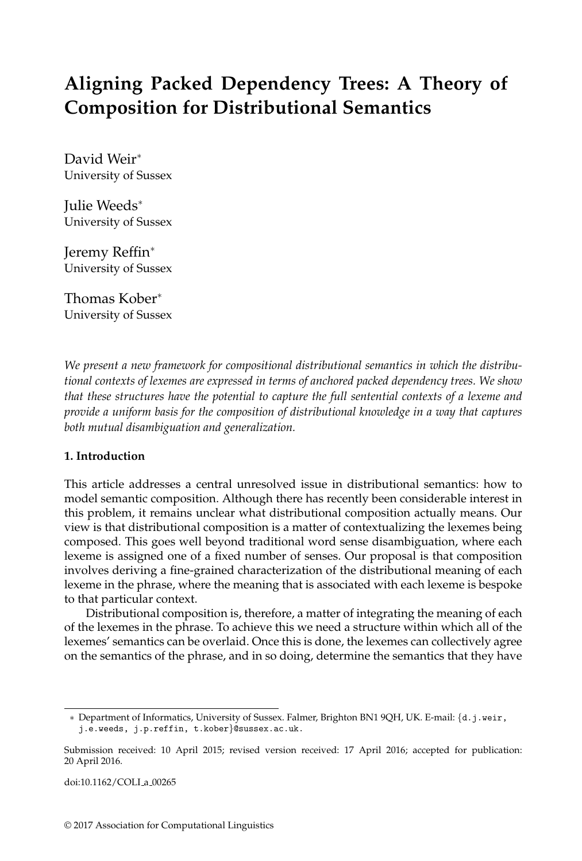# **Aligning Packed Dependency Trees: A Theory of Composition for Distributional Semantics**

David Weir<sup>∗</sup> University of Sussex

Julie Weeds<sup>∗</sup> University of Sussex

Jeremy Reffin<sup>∗</sup> University of Sussex

Thomas Kober<sup>∗</sup> University of Sussex

*We present a new framework for compositional distributional semantics in which the distributional contexts of lexemes are expressed in terms of anchored packed dependency trees. We show that these structures have the potential to capture the full sentential contexts of a lexeme and provide a uniform basis for the composition of distributional knowledge in a way that captures both mutual disambiguation and generalization.*

#### **1. Introduction**

This article addresses a central unresolved issue in distributional semantics: how to model semantic composition. Although there has recently been considerable interest in this problem, it remains unclear what distributional composition actually means. Our view is that distributional composition is a matter of contextualizing the lexemes being composed. This goes well beyond traditional word sense disambiguation, where each lexeme is assigned one of a fixed number of senses. Our proposal is that composition involves deriving a fine-grained characterization of the distributional meaning of each lexeme in the phrase, where the meaning that is associated with each lexeme is bespoke to that particular context.

Distributional composition is, therefore, a matter of integrating the meaning of each of the lexemes in the phrase. To achieve this we need a structure within which all of the lexemes' semantics can be overlaid. Once this is done, the lexemes can collectively agree on the semantics of the phrase, and in so doing, determine the semantics that they have

doi:10.1162/COLI\_a\_00265

<sup>∗</sup> Department of Informatics, University of Sussex. Falmer, Brighton BN1 9QH, UK. E-mail: {d.j.weir, j.e.weeds, j.p.reffin, t.kober}@sussex.ac.uk.

Submission received: 10 April 2015; revised version received: 17 April 2016; accepted for publication: 20 April 2016.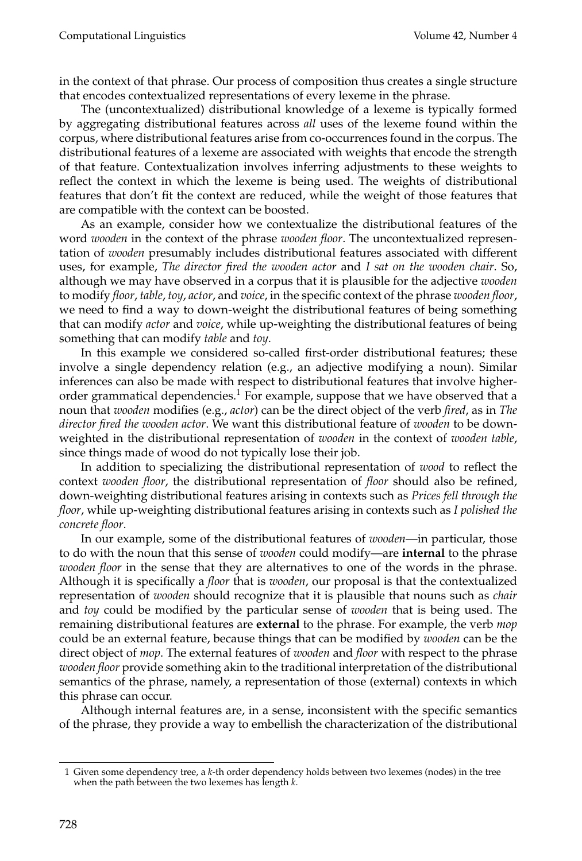in the context of that phrase. Our process of composition thus creates a single structure that encodes contextualized representations of every lexeme in the phrase.

The (uncontextualized) distributional knowledge of a lexeme is typically formed by aggregating distributional features across *all* uses of the lexeme found within the corpus, where distributional features arise from co-occurrences found in the corpus. The distributional features of a lexeme are associated with weights that encode the strength of that feature. Contextualization involves inferring adjustments to these weights to reflect the context in which the lexeme is being used. The weights of distributional features that don't fit the context are reduced, while the weight of those features that are compatible with the context can be boosted.

As an example, consider how we contextualize the distributional features of the word *wooden* in the context of the phrase *wooden floor*. The uncontextualized representation of *wooden* presumably includes distributional features associated with different uses, for example, *The director fired the wooden actor* and *I sat on the wooden chair*. So, although we may have observed in a corpus that it is plausible for the adjective *wooden* to modify *floor*, *table*, *toy*, *actor*, and *voice*, in the specific context of the phrase *wooden floor*, we need to find a way to down-weight the distributional features of being something that can modify *actor* and *voice*, while up-weighting the distributional features of being something that can modify *table* and *toy*.

In this example we considered so-called first-order distributional features; these involve a single dependency relation (e.g., an adjective modifying a noun). Similar inferences can also be made with respect to distributional features that involve higherorder grammatical dependencies.<sup>1</sup> For example, suppose that we have observed that a noun that *wooden* modifies (e.g., *actor*) can be the direct object of the verb *fired*, as in *The director fired the wooden actor*. We want this distributional feature of *wooden* to be downweighted in the distributional representation of *wooden* in the context of *wooden table*, since things made of wood do not typically lose their job.

In addition to specializing the distributional representation of *wood* to reflect the context *wooden floor*, the distributional representation of *floor* should also be refined, down-weighting distributional features arising in contexts such as *Prices fell through the floor*, while up-weighting distributional features arising in contexts such as *I polished the concrete floor*.

In our example, some of the distributional features of *wooden*—in particular, those to do with the noun that this sense of *wooden* could modify—are **internal** to the phrase *wooden floor* in the sense that they are alternatives to one of the words in the phrase. Although it is specifically a *floor* that is *wooden*, our proposal is that the contextualized representation of *wooden* should recognize that it is plausible that nouns such as *chair* and *toy* could be modified by the particular sense of *wooden* that is being used. The remaining distributional features are **external** to the phrase. For example, the verb *mop* could be an external feature, because things that can be modified by *wooden* can be the direct object of *mop*. The external features of *wooden* and *floor* with respect to the phrase *wooden floor* provide something akin to the traditional interpretation of the distributional semantics of the phrase, namely, a representation of those (external) contexts in which this phrase can occur.

Although internal features are, in a sense, inconsistent with the specific semantics of the phrase, they provide a way to embellish the characterization of the distributional

<sup>1</sup> Given some dependency tree, a *k*-th order dependency holds between two lexemes (nodes) in the tree when the path between the two lexemes has length *k*.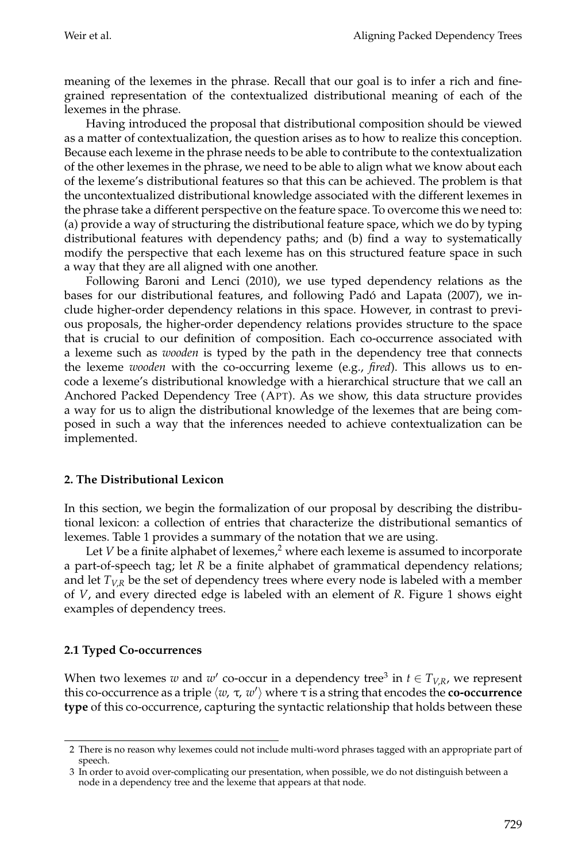meaning of the lexemes in the phrase. Recall that our goal is to infer a rich and finegrained representation of the contextualized distributional meaning of each of the lexemes in the phrase.

Having introduced the proposal that distributional composition should be viewed as a matter of contextualization, the question arises as to how to realize this conception. Because each lexeme in the phrase needs to be able to contribute to the contextualization of the other lexemes in the phrase, we need to be able to align what we know about each of the lexeme's distributional features so that this can be achieved. The problem is that the uncontextualized distributional knowledge associated with the different lexemes in the phrase take a different perspective on the feature space. To overcome this we need to: (a) provide a way of structuring the distributional feature space, which we do by typing distributional features with dependency paths; and (b) find a way to systematically modify the perspective that each lexeme has on this structured feature space in such a way that they are all aligned with one another.

Following Baroni and Lenci (2010), we use typed dependency relations as the bases for our distributional features, and following Padó and Lapata (2007), we include higher-order dependency relations in this space. However, in contrast to previous proposals, the higher-order dependency relations provides structure to the space that is crucial to our definition of composition. Each co-occurrence associated with a lexeme such as *wooden* is typed by the path in the dependency tree that connects the lexeme *wooden* with the co-occurring lexeme (e.g., *fired*). This allows us to encode a lexeme's distributional knowledge with a hierarchical structure that we call an Anchored Packed Dependency Tree (APT). As we show, this data structure provides a way for us to align the distributional knowledge of the lexemes that are being composed in such a way that the inferences needed to achieve contextualization can be implemented.

## **2. The Distributional Lexicon**

In this section, we begin the formalization of our proposal by describing the distributional lexicon: a collection of entries that characterize the distributional semantics of lexemes. Table 1 provides a summary of the notation that we are using.

Let  $V$  be a finite alphabet of lexemes,<sup>2</sup> where each lexeme is assumed to incorporate a part-of-speech tag; let *R* be a finite alphabet of grammatical dependency relations; and let  $T_{VR}$  be the set of dependency trees where every node is labeled with a member of *V*, and every directed edge is labeled with an element of *R*. Figure 1 shows eight examples of dependency trees.

## **2.1 Typed Co-occurrences**

When two lexemes  $w$  and  $w'$  co-occur in a dependency tree<sup>3</sup> in  $t \in T_{V,R}$ , we represent this co-occurrence as a triple  $\langle w, \tau, w' \rangle$  where  $\tau$  is a string that encodes the **co-occurrence type** of this co-occurrence, capturing the syntactic relationship that holds between these

<sup>2</sup> There is no reason why lexemes could not include multi-word phrases tagged with an appropriate part of speech.

<sup>3</sup> In order to avoid over-complicating our presentation, when possible, we do not distinguish between a node in a dependency tree and the lexeme that appears at that node.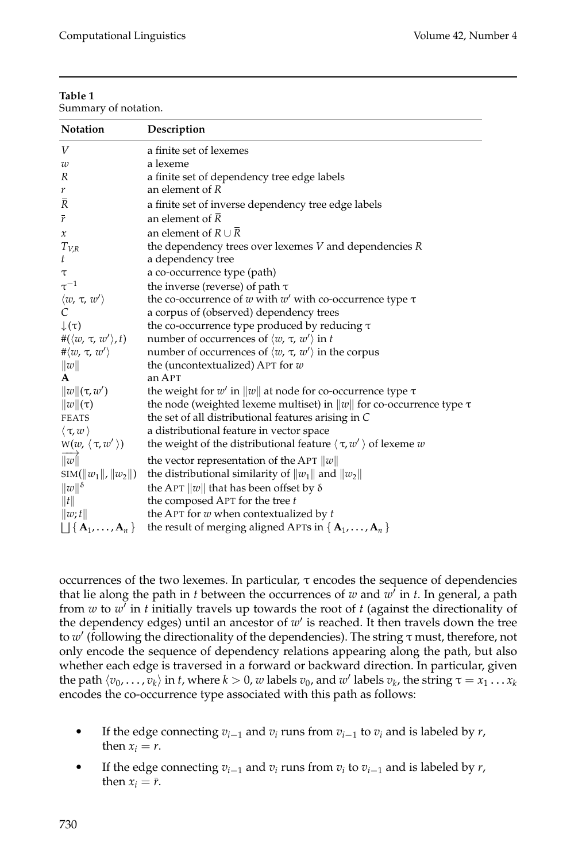## **Table 1**

Summary of notation.

| <b>Notation</b>                                      | Description                                                                     |
|------------------------------------------------------|---------------------------------------------------------------------------------|
| V                                                    | a finite set of lexemes                                                         |
| w                                                    | a lexeme                                                                        |
| R                                                    | a finite set of dependency tree edge labels                                     |
| r                                                    | an element of $R$                                                               |
| $\bar{R}$                                            | a finite set of inverse dependency tree edge labels                             |
| $\bar{r}$                                            | an element of $R$                                                               |
| $\boldsymbol{\mathcal{X}}$                           | an element of $R \cup R$                                                        |
| $T_{V\!R}$                                           | the dependency trees over lexemes $V$ and dependencies $R$                      |
| t                                                    | a dependency tree                                                               |
| τ                                                    | a co-occurrence type (path)                                                     |
| $\tau^{-1}$                                          | the inverse (reverse) of path $\tau$                                            |
| $\langle w,\,\tau,\,w'\rangle$                       | the co-occurrence of w with $w'$ with co-occurrence type $\tau$                 |
|                                                      | a corpus of (observed) dependency trees                                         |
| $\downarrow$ (τ)                                     | the co-occurrence type produced by reducing $\tau$                              |
| $\#(\langle w, \tau, w' \rangle, t)$                 | number of occurrences of $\langle w, \tau, w' \rangle$ in t                     |
| $\#\langle w, \tau, w' \rangle$                      | number of occurrences of $\langle w, \tau, w' \rangle$ in the corpus            |
| $\ w\ $                                              | the (uncontextualized) APT for $w$                                              |
| A                                                    | an APT                                                                          |
| $\ w\ (\tau,w')$                                     | the weight for w' in $  w  $ at node for co-occurrence type $\tau$              |
| $\ w\ (\tau)$                                        | the node (weighted lexeme multiset) in $  w  $ for co-occurrence type $\tau$    |
| <b>FEATS</b>                                         | the set of all distributional features arising in C                             |
| $\langle \tau, w \rangle$                            | a distributional feature in vector space                                        |
| $\mathrm{W}(w,\, \langle\, \tau,w'\,\rangle)$        | the weight of the distributional feature $\langle \tau, w' \rangle$ of lexeme w |
| $\overrightarrow{  w  }$                             | the vector representation of the APT $\ w\ $                                    |
| $\text{SIM}(\ w_1\ , \ w_2\ )$                       | the distributional similarity of $  w_1  $ and $  w_2  $                        |
| $\ w\ ^{\delta}$                                     | the APT $  w  $ that has been offset by $\delta$                                |
| t                                                    | the composed APT for the tree t                                                 |
| $\ w; t\ $                                           | the APT for $w$ when contextualized by $t$                                      |
| $\bigsqcup$ { $\mathbf{A}_1, \ldots, \mathbf{A}_n$ } | the result of merging aligned APTs in { $\mathbf{A}_1, \dots, \mathbf{A}_n$ }   |

occurrences of the two lexemes. In particular, τ encodes the sequence of dependencies that lie along the path in *t* between the occurrences of *w* and *w* 0 in *t*. In general, a path from  $w$  to  $w'$  in  $t$  initially travels up towards the root of  $t$  (against the directionality of the dependency edges) until an ancestor of  $w'$  is reached. It then travels down the tree to *w'* (following the directionality of the dependencies). The string τ must, therefore, not only encode the sequence of dependency relations appearing along the path, but also whether each edge is traversed in a forward or backward direction. In particular, given the path  $\langle v_0, \ldots, v_k \rangle$  in *t*, where  $k > 0$ , *w* labels  $v_0$ , and  $w'$  labels  $v_k$ , the string  $\tau = x_1 \ldots x_k$ encodes the co-occurrence type associated with this path as follows:

- r If the edge connecting *vi*−<sup>1</sup> and *v<sup>i</sup>* runs from *vi*−<sup>1</sup> to *v<sup>i</sup>* and is labeled by *r*, then  $x_i = r$ .
- r If the edge connecting *vi*−<sup>1</sup> and *v<sup>i</sup>* runs from *v<sup>i</sup>* to *vi*−<sup>1</sup> and is labeled by *r*, then  $x_i = \overline{r}$ .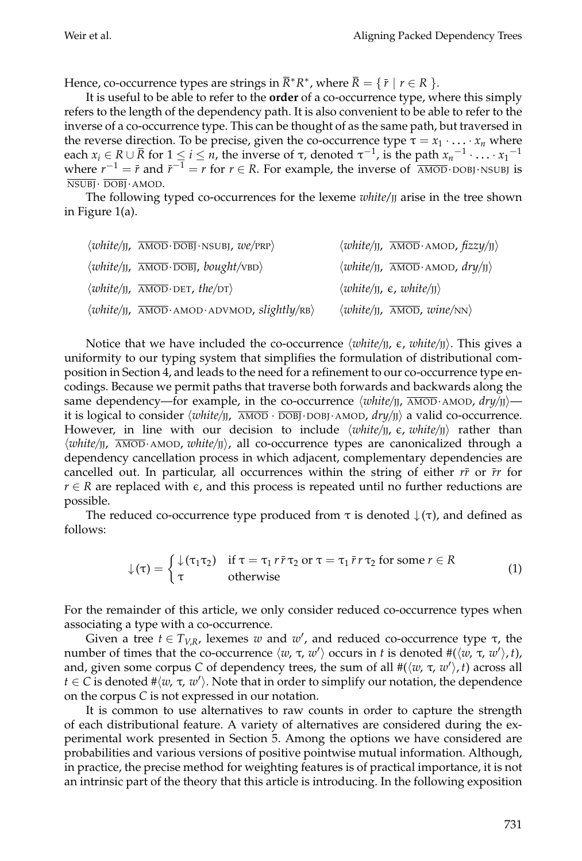Hence, co-occurrence types are strings in  $\bar{R}^* R^*$ , where  $\bar{R} = \{ \bar{r} \mid r \in R \ \}.$ 

It is useful to be able to refer to the **order** of a co-occurrence type, where this simply refers to the length of the dependency path. It is also convenient to be able to refer to the inverse of a co-occurrence type. This can be thought of as the same path, but traversed in the reverse direction. To be precise, given the co-occurrence type  $\tau = x_1 \cdot \ldots \cdot x_n$  where each  $x_i \in R \cup \overline{R}$  for  $1 \leq i \leq n$ , the inverse of  $\tau$ , denoted  $\tau^{-1}$ , is the path  $x_n^{-1} \cdot \ldots \cdot x_1^{-1}$ where  $r^{-1} = \bar{r}$  and  $\bar{r}^{-1} = r$  for  $r \in R$ . For example, the inverse of  $\overline{\text{AMOD}} \cdot \text{DOBI} \cdot \text{NSUBJ}$  is NSUBJ· DOBJ·AMOD.

The following typed co-occurrences for the lexeme *white*/JJ arise in the tree shown in Figure 1(a).

| $\langle white/\text{jj}, \overline{AMOD} \cdot \overline{DOBJ} \cdot NSUBJ, we/PRP \rangle$   | $\langle white/y, \overline{AMOD} \cdot AMOD, fizzy/y \rangle$ |
|------------------------------------------------------------------------------------------------|----------------------------------------------------------------|
| $\langle white\rangle$ $\overline{\text{AMOD}}\cdot\overline{\text{DOB}}$ , bought/VBD)        | $\langle white/y, \overline{AMOD} \cdot AMOD, dry/y \rangle$   |
| $\langle white/y, \overline{AMOD} \cdot DET, the/DT \rangle$                                   | $\langle white/y, \epsilon, white/y \rangle$                   |
| $\langle white\text{/}JJ, \overline{AMOD} \cdot AMOD \cdot ADVMOD, slightly\text{/}RB \rangle$ | $\langle white/y, \overline{AMOD}, wine/NN \rangle$            |

Notice that we have included the co-occurrence  $\langle white/\text{J}$ ,  $\epsilon$ ,  $white/\text{J}$ . This gives a uniformity to our typing system that simplifies the formulation of distributional composition in Section 4, and leads to the need for a refinement to our co-occurrence type encodings. Because we permit paths that traverse both forwards and backwards along the same dependency—for example, in the co-occurrence  $\langle white/y, \overline{AMOD} \cdot AMOD, dry/y \rangle$  it is logical to consider  $\langle white/\text{II}, \overline{\text{AMOD}} \cdot \overline{\text{DOBI}} \cdot \text{DOBI} \cdot \text{AMOD}, \frac{dry}{\text{II}} \rangle$  a valid co-occurrence. However, in line with our decision to include  $\langle white/j, \epsilon, white/j \rangle$  rather than h*white*/JJ, AMOD·AMOD, *white*/JJi, all co-occurrence types are canonicalized through a dependency cancellation process in which adjacent, complementary dependencies are cancelled out. In particular, all occurrences within the string of either *rr* or *rr* for  $r \in R$  are replaced with  $\epsilon$ , and this process is repeated until no further reductions are possible.

The reduced co-occurrence type produced from  $\tau$  is denoted  $\downarrow(\tau)$ , and defined as follows:

$$
\downarrow(\tau) = \begin{cases} \downarrow(\tau_1 \tau_2) & \text{if } \tau = \tau_1 r \bar{r} \tau_2 \text{ or } \tau = \tau_1 \bar{r} r \tau_2 \text{ for some } r \in R \\ \tau & \text{otherwise} \end{cases}
$$
(1)

For the remainder of this article, we only consider reduced co-occurrence types when associating a type with a co-occurrence.

Given a tree  $t \in T_{V,R}$ , lexemes *w* and *w'*, and reduced co-occurrence type  $\tau$ , the number of times that the co-occurrence  $\langle w, \tau, w' \rangle$  occurs in *t* is denoted #( $\langle w, \tau, w' \rangle$ , *t*), and, given some corpus *C* of dependency trees, the sum of all  $\#(\langle w, \tau, w' \rangle, t)$  across all *t* ∈ *C* is denoted # $\langle w, \tau, w' \rangle$ . Note that in order to simplify our notation, the dependence on the corpus *C* is not expressed in our notation.

It is common to use alternatives to raw counts in order to capture the strength of each distributional feature. A variety of alternatives are considered during the experimental work presented in Section 5. Among the options we have considered are probabilities and various versions of positive pointwise mutual information. Although, in practice, the precise method for weighting features is of practical importance, it is not an intrinsic part of the theory that this article is introducing. In the following exposition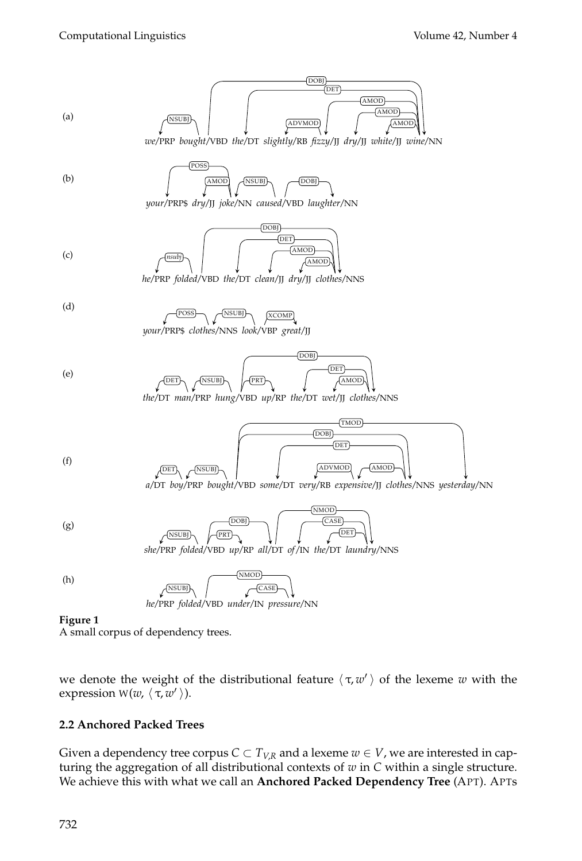(a)  
\n
$$
\int_{C(SU|B)} \sqrt{\frac{(SU|B)}{V}} \sqrt{\frac{(SU|B)}{V}} \sqrt{\frac{(SU|B)}{V}} \sqrt{\frac{(SU|B)}{V}} \sqrt{\frac{(SU|B)}{V}}}
$$
\n(b)  
\n
$$
\int_{V} \sqrt{\frac{(SU|B)}{V}} \sqrt{\frac{(SU|B)}{V}} \sqrt{\frac{(SU|B)}{V}} \sqrt{\frac{(SU|B)}{V}} \sqrt{\frac{(SU|B)}{V}}}
$$
\n(c)  
\n
$$
\int_{C(SU|B)} \sqrt{\frac{(SU|B)}{V}} \sqrt{\frac{(SU|B)}{V}} \sqrt{\frac{(SU|B)}{V}} \sqrt{\frac{(SU|B)}{V}}}
$$
\n(d)  
\n
$$
\int_{V} \sqrt{\frac{(SU|B)}{V}} \sqrt{\frac{(SU|B)}{V}} \sqrt{\frac{(SU|B)}{V}} \sqrt{\frac{(SU|B)}{V}} \sqrt{\frac{(SU|B)}{V}}}
$$
\n(e)  
\n
$$
\int_{V} \sqrt{\frac{(SU|B)}{V}} \sqrt{\frac{(SU|B)}{V}} \sqrt{\frac{(SU|B)}{V}} \sqrt{\frac{(SU|B)}{V}} \sqrt{\frac{(SU|B)}{V}}}
$$
\n(e)  
\n
$$
\int_{C(E|T)} \sqrt{\frac{(SU|B)}{V}} \sqrt{\frac{(SU|B)}{V}} \sqrt{\frac{(SU|B)}{V}} \sqrt{\frac{(SU|B)}{V}} \sqrt{\frac{(SU|B)}{V}}}
$$
\n(f)  
\n
$$
\int_{R/DT} \sqrt{\frac{(SU|B)}{V}} \sqrt{\frac{(SU|B)}{V}} \sqrt{\frac{(SU|B)}{V}} \sqrt{\frac{(SU|B)}{V}} \sqrt{\frac{(SU|B)}{V}}}
$$
\n(g)  
\n
$$
\int_{S} \sqrt{\frac{(SU|B)}{V}} \sqrt{\frac{(SU|B)}{V}} \sqrt{\frac{(SU|B)}{V}} \sqrt{\frac{(SU|B)}{V}} \sqrt{\frac{(SU|B)}{V}}}
$$
\n(e)  
\n
$$
\int_{S} \sqrt{\frac{(SU|B)}{V}} \sqrt{\frac{(SU|B)}{V}} \sqrt{\frac{(SU|B)}{V}} \sqrt{\frac{(SU|B)}{V}} \sqrt{\frac{(SU|B)}{V}}}
$$
\n(h)  
\n<math display="</p>

**Figure 1**

A small corpus of dependency trees.

we denote the weight of the distributional feature  $\langle \tau, w' \rangle$  of the lexeme *w* with the expression W(*w*,  $\langle \tau, w' \rangle$ ).

## **2.2 Anchored Packed Trees**

Given a dependency tree corpus  $C \subset T_{V,R}$  and a lexeme  $w \in V$ , we are interested in capturing the aggregation of all distributional contexts of *w* in *C* within a single structure. We achieve this with what we call an **Anchored Packed Dependency Tree** (APT). APTs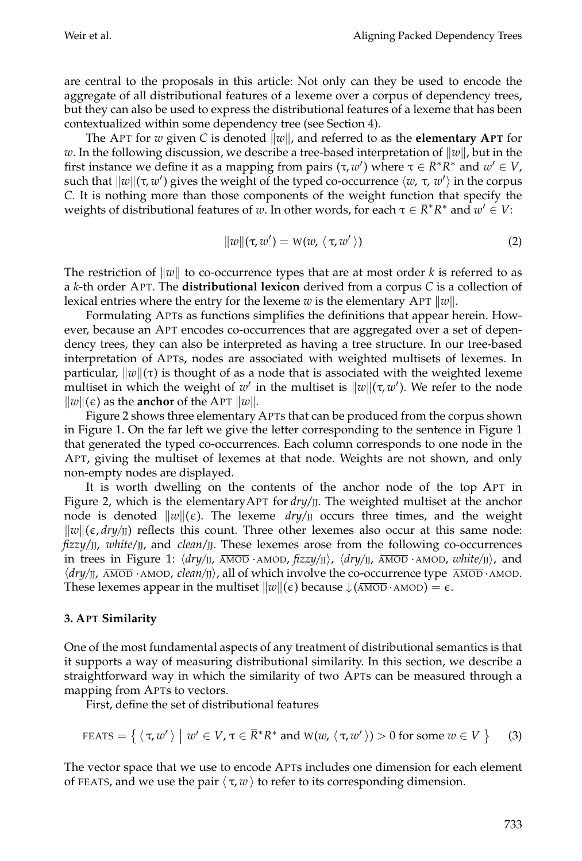are central to the proposals in this article: Not only can they be used to encode the aggregate of all distributional features of a lexeme over a corpus of dependency trees, but they can also be used to express the distributional features of a lexeme that has been contextualized within some dependency tree (see Section 4).

The APT for *w* given *C* is denoted  $\Vert w \Vert$ , and referred to as the **elementary APT** for *w*. In the following discussion, we describe a tree-based interpretation of  $\Vert w \Vert$ , but in the first instance we define it as a mapping from pairs (τ, *w'*) where  $\tau \in \overline{R}^*R^*$  and  $w' \in V$ , such that  $\|w\|$ (τ, *w'*) gives the weight of the typed co-occurrence  $\langle w,$  τ,  $w' \rangle$  in the corpus *C*. It is nothing more than those components of the weight function that specify the weights of distributional features of *w*. In other words, for each  $\tau \in \overline{R}^* R^*$  and  $w' \in V$ :

$$
||w||(\tau, w') = W(w, \langle \tau, w' \rangle)
$$
\n(2)

The restriction of  $\|w\|$  to co-occurrence types that are at most order *k* is referred to as a *k*-th order APT. The **distributional lexicon** derived from a corpus *C* is a collection of lexical entries where the entry for the lexeme  $w$  is the elementary APT  $||w||$ .

Formulating APTs as functions simplifies the definitions that appear herein. However, because an APT encodes co-occurrences that are aggregated over a set of dependency trees, they can also be interpreted as having a tree structure. In our tree-based interpretation of APTs, nodes are associated with weighted multisets of lexemes. In particular,  $\Vert w \Vert(\tau)$  is thought of as a node that is associated with the weighted lexeme multiset in which the weight of  $w'$  in the multiset is  $\|w\|(\tau, w')$ . We refer to the node  $\|w\|(\epsilon)$  as the **anchor** of the APT  $\|w\|$ .

Figure 2 shows three elementary APTs that can be produced from the corpus shown in Figure 1. On the far left we give the letter corresponding to the sentence in Figure 1 that generated the typed co-occurrences. Each column corresponds to one node in the APT, giving the multiset of lexemes at that node. Weights are not shown, and only non-empty nodes are displayed.

It is worth dwelling on the contents of the anchor node of the top APT in Figure 2, which is the elementaryAPT for *dry*/JJ. The weighted multiset at the anchor node is denoted  $\|w\|(\epsilon)$ . The lexeme *dry*/JJ occurs three times, and the weight  $\|w\|(\epsilon, dry/\pi)$  reflects this count. Three other lexemes also occur at this same node: *fizzy*/JJ, *white*/JJ, and *clean*/JJ. These lexemes arose from the following co-occurrences in trees in Figure 1:  $\langle \frac{d r y}{JJ} \rangle$ ,  $\overline{\text{AMOD}} \cdot \text{AMOD}$ ,  $\langle \frac{d r y}{JJ} \rangle$ ,  $\langle \frac{d r y}{JJ} \rangle$ ,  $\overline{\text{AMOD}} \cdot \text{AMOD}$ ,  $\overline{\text{white}}/JJ \rangle$ , and h*dry*/JJ, AMOD ·AMOD, *clean*/JJi, all of which involve the co-occurrence type AMOD ·AMOD. These lexemes appear in the multiset  $\Vert w \Vert (\epsilon)$  because  $\downarrow$  (AMOD · AMOD) =  $\epsilon$ .

#### **3. APT Similarity**

One of the most fundamental aspects of any treatment of distributional semantics is that it supports a way of measuring distributional similarity. In this section, we describe a straightforward way in which the similarity of two APTs can be measured through a mapping from APTs to vectors.

First, define the set of distributional features

$$
\text{FEATS} = \left\{ \left\langle \tau, w' \right\rangle \middle| w' \in V, \tau \in \overline{R}^* R^* \text{ and } W(w, \left\langle \tau, w' \right\rangle) > 0 \text{ for some } w \in V \right\} \tag{3}
$$

The vector space that we use to encode APTs includes one dimension for each element of FEATS, and we use the pair  $\langle \tau, w \rangle$  to refer to its corresponding dimension.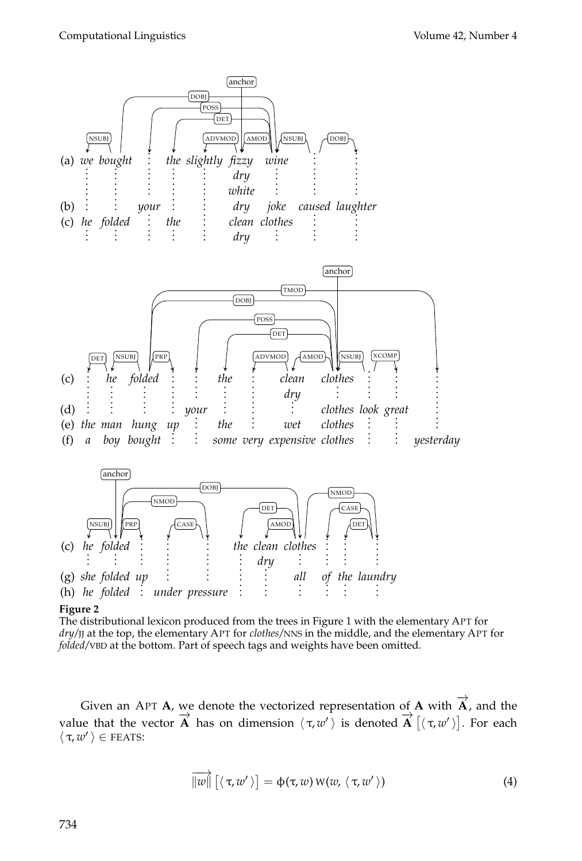

#### **Figure 2**

The distributional lexicon produced from the trees in Figure 1 with the elementary APT for *dry*/JJ at the top, the elementary APT for *clothes*/NNS in the middle, and the elementary APT for *folded*/VBD at the bottom. Part of speech tags and weights have been omitted.

Given an APT **A**, we denote the vectorized representation of **A** with **A**<sup>*i*</sup>, and the value that the vector  $\overrightarrow{A}$  has on dimension  $\langle \tau, w' \rangle$  is denoted  $\overrightarrow{A}$   $[\langle \tau, w' \rangle]$ . For each  $\langle \tau, w' \rangle \in$  FEATS:

$$
\overrightarrow{\|w\|}\left[\langle \tau,w'\,\rangle\right]=\Phi(\tau,w)\,\mathsf{W}(w,\langle \tau,w'\,\rangle)\tag{4}
$$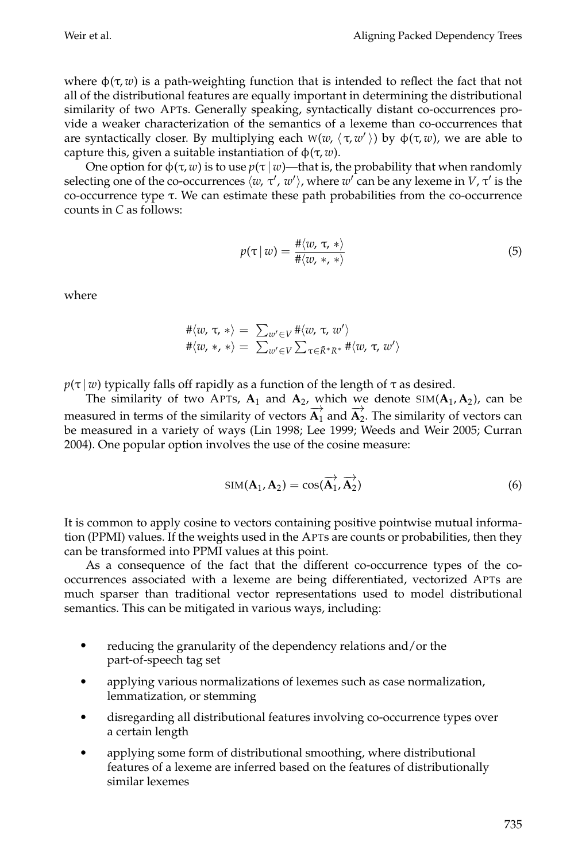where  $\phi(\tau, w)$  is a path-weighting function that is intended to reflect the fact that not all of the distributional features are equally important in determining the distributional similarity of two APTs. Generally speaking, syntactically distant co-occurrences provide a weaker characterization of the semantics of a lexeme than co-occurrences that are syntactically closer. By multiplying each  $W(w, \langle \tau, w' \rangle)$  by  $\varphi(\tau, w)$ , we are able to capture this, given a suitable instantiation of  $\phi(\tau, w)$ .

One option for  $\phi(\tau, w)$  is to use  $p(\tau | w)$ —that is, the probability that when randomly selecting one of the co-occurrences  $\langle w, \tau', w' \rangle$ , where  $w'$  can be any lexeme in *V*,  $\tau'$  is the co-occurrence type τ. We can estimate these path probabilities from the co-occurrence counts in *C* as follows:

$$
p(\tau \mid w) = \frac{\# \langle w, \tau, * \rangle}{\# \langle w, *, * \rangle}
$$
 (5)

where

$$
\begin{array}{l}\n\#\langle w, \tau, * \rangle = \sum_{w' \in V} \#\langle w, \tau, w' \rangle \\
\#\langle w, *, * \rangle = \sum_{w' \in V} \sum_{\tau \in \bar{R}^* R^*} \#\langle w, \tau, w' \rangle\n\end{array}
$$

 $p(\tau | w)$  typically falls off rapidly as a function of the length of  $\tau$  as desired.

The similarity of two APTs,  $A_1$  and  $A_2$ , which we denote SIM $(A_1, A_2)$ , can be measured in terms of the similarity of vectors  $\overrightarrow{A_1}$  and  $\overrightarrow{A_2}$ . The similarity of vectors can be measured in a variety of ways (Lin 1998; Lee 1999; Weeds and Weir 2005; Curran 2004). One popular option involves the use of the cosine measure:

$$
SIM(\mathbf{A}_1, \mathbf{A}_2) = \cos(\overrightarrow{\mathbf{A}_1}, \overrightarrow{\mathbf{A}_2})
$$
 (6)

It is common to apply cosine to vectors containing positive pointwise mutual information (PPMI) values. If the weights used in the APTs are counts or probabilities, then they can be transformed into PPMI values at this point.

As a consequence of the fact that the different co-occurrence types of the cooccurrences associated with a lexeme are being differentiated, vectorized APTs are much sparser than traditional vector representations used to model distributional semantics. This can be mitigated in various ways, including:

- r reducing the granularity of the dependency relations and/or the part-of-speech tag set
- applying various normalizations of lexemes such as case normalization, lemmatization, or stemming
- disregarding all distributional features involving co-occurrence types over a certain length
- applying some form of distributional smoothing, where distributional features of a lexeme are inferred based on the features of distributionally similar lexemes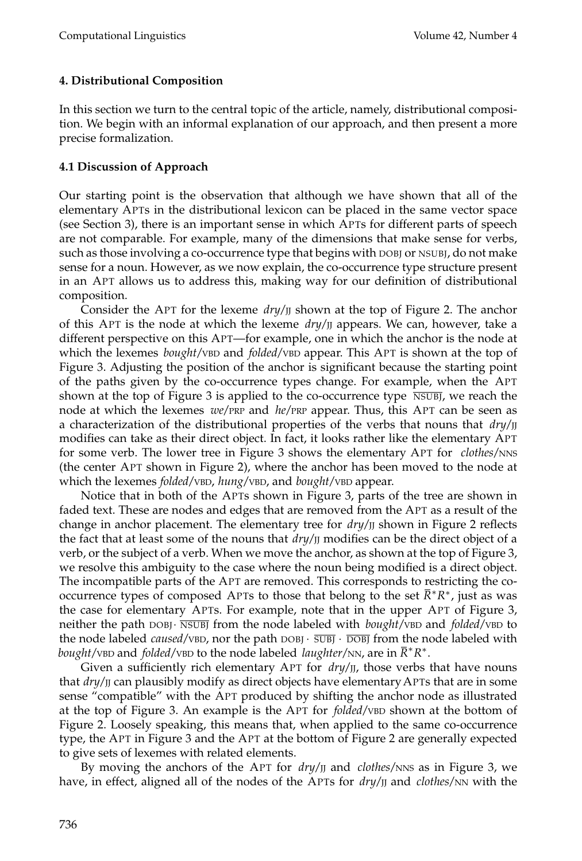#### **4. Distributional Composition**

In this section we turn to the central topic of the article, namely, distributional composition. We begin with an informal explanation of our approach, and then present a more precise formalization.

#### **4.1 Discussion of Approach**

Our starting point is the observation that although we have shown that all of the elementary APTs in the distributional lexicon can be placed in the same vector space (see Section 3), there is an important sense in which APTs for different parts of speech are not comparable. For example, many of the dimensions that make sense for verbs, such as those involving a co-occurrence type that begins with DOBJ or NSUBJ, do not make sense for a noun. However, as we now explain, the co-occurrence type structure present in an APT allows us to address this, making way for our definition of distributional composition.

Consider the APT for the lexeme *dry*/JJ shown at the top of Figure 2. The anchor of this APT is the node at which the lexeme *dry*/JJ appears. We can, however, take a different perspective on this APT—for example, one in which the anchor is the node at which the lexemes *bought*/vBD and *folded*/vBD appear. This APT is shown at the top of Figure 3. Adjusting the position of the anchor is significant because the starting point of the paths given by the co-occurrence types change. For example, when the APT shown at the top of Figure 3 is applied to the co-occurrence type  $\overline{\text{NSUB}}$ , we reach the node at which the lexemes *we*/PRP and *he*/PRP appear. Thus, this APT can be seen as a characterization of the distributional properties of the verbs that nouns that  $\frac{dry}{JJ}$ modifies can take as their direct object. In fact, it looks rather like the elementary APT for some verb. The lower tree in Figure 3 shows the elementary APT for *clothes*/NNS (the center APT shown in Figure 2), where the anchor has been moved to the node at which the lexemes *folded*/VBD, *hung*/VBD, and *bought*/VBD appear.

Notice that in both of the APTs shown in Figure 3, parts of the tree are shown in faded text. These are nodes and edges that are removed from the APT as a result of the change in anchor placement. The elementary tree for  $\frac{dry}{JJ}$  shown in Figure 2 reflects the fact that at least some of the nouns that *dry*/JJ modifies can be the direct object of a verb, or the subject of a verb. When we move the anchor, as shown at the top of Figure 3, we resolve this ambiguity to the case where the noun being modified is a direct object. The incompatible parts of the APT are removed. This corresponds to restricting the cooccurrence types of composed APTs to those that belong to the set  $\bar{R}^*R^*$ , just as was the case for elementary APTs. For example, note that in the upper APT of Figure 3, neither the path DOBJ· NSUBJ from the node labeled with *bought*/VBD and *folded*/VBD to the node labeled *caused*/VBD, nor the path  $\overline{DOBJ} \cdot \overline{DOBJ}$  from the node labeled with *bought*/vBD and *folded*/vBD to the node labeled *laughter*/NN, are in  $\bar{R}$ <sup>\*</sup> $R$ <sup>\*</sup>.

Given a sufficiently rich elementary APT for  $\frac{dry}{JJ}$ , those verbs that have nouns that *dry*/JJ can plausibly modify as direct objects have elementaryAPTs that are in some sense "compatible" with the APT produced by shifting the anchor node as illustrated at the top of Figure 3. An example is the APT for *folded*/VBD shown at the bottom of Figure 2. Loosely speaking, this means that, when applied to the same co-occurrence type, the APT in Figure 3 and the APT at the bottom of Figure 2 are generally expected to give sets of lexemes with related elements.

By moving the anchors of the APT for *dry*/JJ and *clothes*/NNS as in Figure 3, we have, in effect, aligned all of the nodes of the APTs for  $\frac{dry}{JJJ}$  and  $\frac{clothes}{NN}$  with the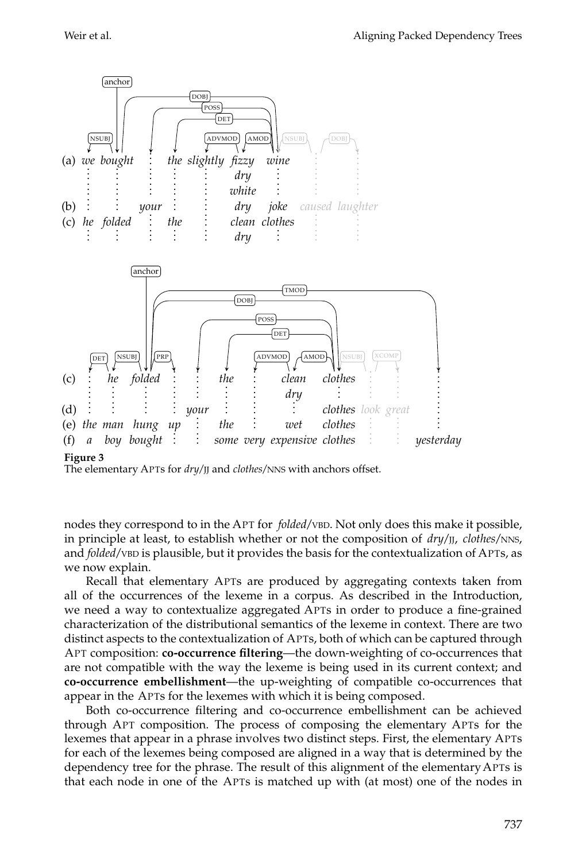

**Figure 3**

The elementary APTs for *dry*/JJ and *clothes*/NNS with anchors offset.

nodes they correspond to in the APT for *folded*/vBD. Not only does this make it possible, in principle at least, to establish whether or not the composition of  $\frac{dry}{JJJ}$ , *clothes*/NNS, and *folded*/VBD is plausible, but it provides the basis for the contextualization of APTs, as we now explain.

Recall that elementary APTs are produced by aggregating contexts taken from all of the occurrences of the lexeme in a corpus. As described in the Introduction, we need a way to contextualize aggregated APTs in order to produce a fine-grained characterization of the distributional semantics of the lexeme in context. There are two distinct aspects to the contextualization of APTs, both of which can be captured through APT composition: **co-occurrence filtering**—the down-weighting of co-occurrences that are not compatible with the way the lexeme is being used in its current context; and **co-occurrence embellishment**—the up-weighting of compatible co-occurrences that appear in the APTs for the lexemes with which it is being composed.

Both co-occurrence filtering and co-occurrence embellishment can be achieved through APT composition. The process of composing the elementary APTs for the lexemes that appear in a phrase involves two distinct steps. First, the elementary APTs for each of the lexemes being composed are aligned in a way that is determined by the dependency tree for the phrase. The result of this alignment of the elementaryAPTs is that each node in one of the APTs is matched up with (at most) one of the nodes in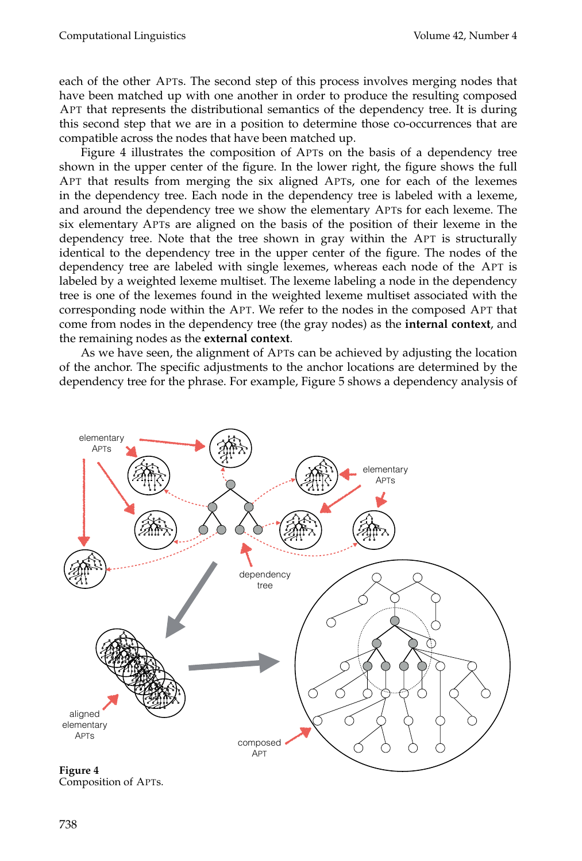each of the other APTs. The second step of this process involves merging nodes that have been matched up with one another in order to produce the resulting composed APT that represents the distributional semantics of the dependency tree. It is during this second step that we are in a position to determine those co-occurrences that are compatible across the nodes that have been matched up.

Figure 4 illustrates the composition of APTs on the basis of a dependency tree shown in the upper center of the figure. In the lower right, the figure shows the full APT that results from merging the six aligned APTs, one for each of the lexemes in the dependency tree. Each node in the dependency tree is labeled with a lexeme, and around the dependency tree we show the elementary APTs for each lexeme. The six elementary APTs are aligned on the basis of the position of their lexeme in the dependency tree. Note that the tree shown in gray within the APT is structurally identical to the dependency tree in the upper center of the figure. The nodes of the dependency tree are labeled with single lexemes, whereas each node of the APT is labeled by a weighted lexeme multiset. The lexeme labeling a node in the dependency tree is one of the lexemes found in the weighted lexeme multiset associated with the corresponding node within the APT. We refer to the nodes in the composed APT that come from nodes in the dependency tree (the gray nodes) as the **internal context**, and the remaining nodes as the **external context**.

As we have seen, the alignment of APTs can be achieved by adjusting the location of the anchor. The specific adjustments to the anchor locations are determined by the dependency tree for the phrase. For example, Figure 5 shows a dependency analysis of



Composition of APTs.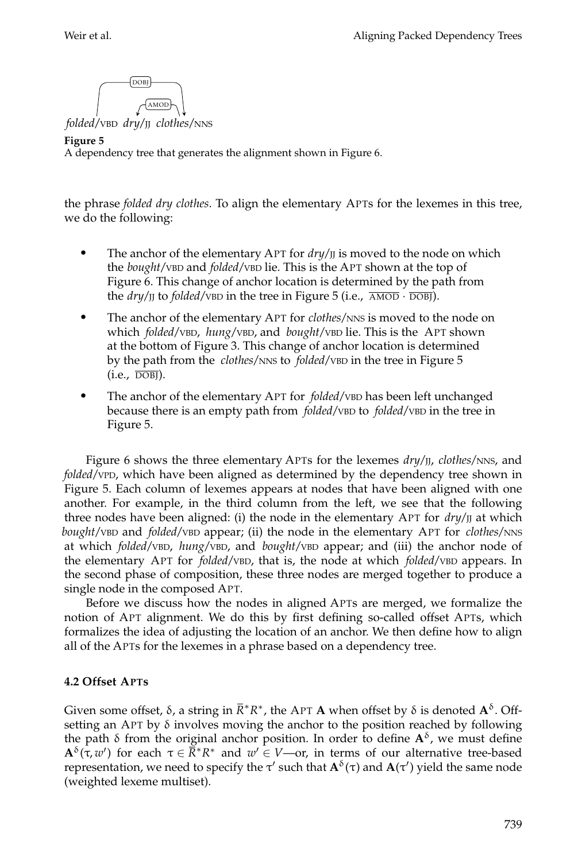

**Figure 5** A dependency tree that generates the alignment shown in Figure 6.

the phrase *folded dry clothes*. To align the elementary APTs for the lexemes in this tree, we do the following:

- The anchor of the elementary APT for *dry*/*JJ* is moved to the node on which the *bought*/VBD and *folded*/VBD lie. This is the APT shown at the top of Figure 6. This change of anchor location is determined by the path from the  $\frac{dry}{JJ}$  to *folded*/vBD in the tree in Figure 5 (i.e.,  $\overline{\text{AMOD}} \cdot \overline{\text{DOBI}}$ ).
- The anchor of the elementary APT for *clothes*/NNS is moved to the node on which *folded*/VBD, *hung*/VBD, and *bought*/VBD lie. This is the APT shown at the bottom of Figure 3. This change of anchor location is determined by the path from the *clothes*/NNS to *folded*/VBD in the tree in Figure 5  $(i.e., \overline{DOBJ})$ .
- The anchor of the elementary APT for *folded*/VBD has been left unchanged because there is an empty path from *folded*/VBD to *folded*/VBD in the tree in Figure 5.

Figure 6 shows the three elementary APTs for the lexemes  $\frac{dry}{JJ}$ , *clothes*/NNS, and *folded*/VPD, which have been aligned as determined by the dependency tree shown in Figure 5. Each column of lexemes appears at nodes that have been aligned with one another. For example, in the third column from the left, we see that the following three nodes have been aligned: (i) the node in the elementary APT for *dry*/JJ at which *bought*/VBD and *folded*/VBD appear; (ii) the node in the elementary APT for *clothes*/NNS at which *folded*/VBD, *hung*/VBD, and *bought*/VBD appear; and (iii) the anchor node of the elementary APT for *folded*/VBD, that is, the node at which *folded*/VBD appears. In the second phase of composition, these three nodes are merged together to produce a single node in the composed APT.

Before we discuss how the nodes in aligned APTs are merged, we formalize the notion of APT alignment. We do this by first defining so-called offset APTs, which formalizes the idea of adjusting the location of an anchor. We then define how to align all of the APTs for the lexemes in a phrase based on a dependency tree.

## **4.2 Offset APTs**

Given some offset,  $\delta$ , a string in  $\bar{R}^* R^*$ , the APT **A** when offset by  $\delta$  is denoted  $\mathbf{A}^{\delta}$ . Offsetting an APT by  $\delta$  involves moving the anchor to the position reached by following the path δ from the original anchor position. In order to define  $A^δ$ , we must define  $A^{\delta}(\tau, w')$  for each  $\tau \in \overline{R}^* R^*$  and  $w' \in V$ —or, in terms of our alternative tree-based representation, we need to specify the τ $'$  such that  $\mathbf{A}^\delta(\tau)$  and  $\mathbf{A}(\tau')$  yield the same node (weighted lexeme multiset).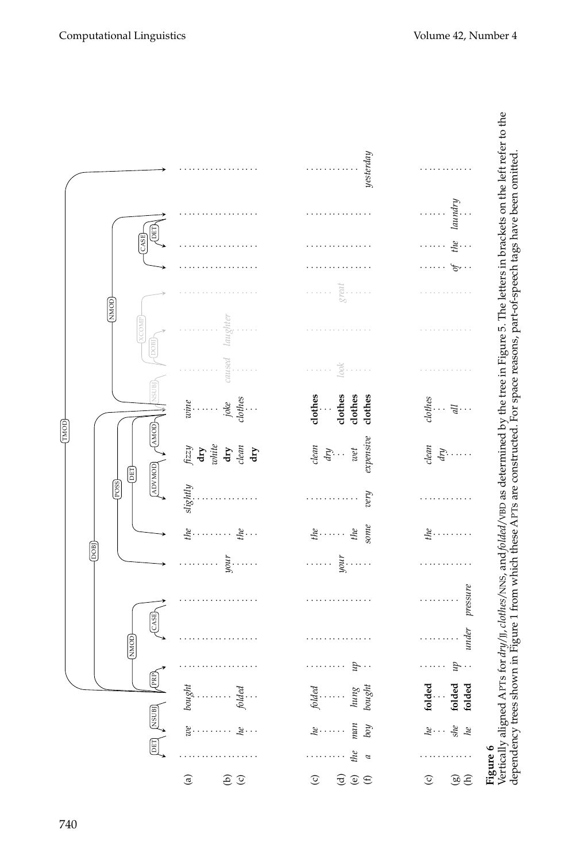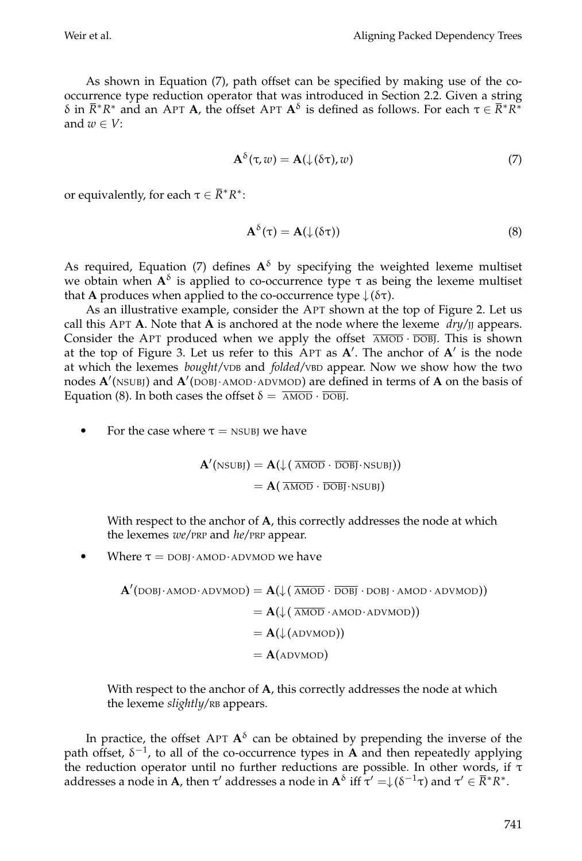As shown in Equation (7), path offset can be specified by making use of the cooccurrence type reduction operator that was introduced in Section 2.2. Given a string δ in  $\bar{R}$ <sup>\*</sup> $R$ <sup>\*</sup> and an APT **A**, the offset APT **A**<sup>δ</sup> is defined as follows. For each  $\tau \in \bar{R}$ <sup>\*</sup> $R$ <sup>\*</sup> and  $w \in V$ :

$$
\mathbf{A}^{\delta}(\tau, w) = \mathbf{A}(\downarrow (\delta \tau), w) \tag{7}
$$

or equivalently, for each  $\tau \in \overline{R}^* R^*$ :

$$
\mathbf{A}^{\delta}(\tau) = \mathbf{A}(\downarrow (\delta \tau)) \tag{8}
$$

As required, Equation (7) defines  $A^{\delta}$  by specifying the weighted lexeme multiset we obtain when  $A^{\delta}$  is applied to co-occurrence type  $\tau$  as being the lexeme multiset that **A** produces when applied to the co-occurrence type  $\downarrow$  ( $\delta \tau$ ).

As an illustrative example, consider the APT shown at the top of Figure 2. Let us call this APT **A**. Note that **A** is anchored at the node where the lexeme  $\frac{dry}{JJJ}$  appears. Consider the APT produced when we apply the offset  $\overline{AMOD} \cdot \overline{DOBI}$ . This is shown at the top of Figure 3. Let us refer to this  $\overrightarrow{APT}$  as  $\overrightarrow{A}$ . The anchor of  $\overrightarrow{A}$  is the node at which the lexemes *bought*/VDB and *folded*/VBD appear. Now we show how the two nodes **A**'(NSUBJ) and **A**'(DOBJ·AMOD·ADVMOD) are defined in terms of **A** on the basis of Equation (8). In both cases the offset  $\delta = \overline{\text{AMOD}} \cdot \overline{\text{DOBI}}$ .

For the case where  $\tau$  = NSUBJ we have

$$
\mathbf{A}'(\text{NSUBJ}) = \mathbf{A}(\downarrow (\overline{\text{AMOD}} \cdot \overline{\text{DOBI}} \cdot \text{NSUBJ}))
$$

$$
= \mathbf{A}(\overline{\text{AMOD}} \cdot \overline{\text{DOBI}} \cdot \text{NSUBJ})
$$

With respect to the anchor of **A**, this correctly addresses the node at which the lexemes *we*/PRP and *he*/PRP appear.

Where  $\tau =$  DOBI·AMOD·ADVMOD we have

$$
\mathbf{A}'(\text{DOBI} \cdot \text{AMOD} \cdot \text{ADVMOD}) = \mathbf{A}(\downarrow (\overline{\text{AMOD}} \cdot \overline{\text{DOBI}} \cdot \text{DOBI} \cdot \text{AMOD} \cdot \text{ADVMOD}))
$$

$$
= \mathbf{A}(\downarrow (\overline{\text{AMOD}} \cdot \text{AMOD} \cdot \text{ADVMOD}))
$$

$$
= \mathbf{A}(\downarrow (\text{ADVMOD}))
$$

$$
= \mathbf{A}(\text{ADVMOD})
$$

$$
= \mathbf{A}(\text{ADVMOD})
$$

With respect to the anchor of **A**, this correctly addresses the node at which the lexeme *slightly*/RB appears.

In practice, the offset APT  $A^{\delta}$  can be obtained by prepending the inverse of the path offset, δ −1 , to all of the co-occurrence types in **A** and then repeatedly applying the reduction operator until no further reductions are possible. In other words, if  $\tau$ addresses a node in **A**, then  $\tau'$  addresses a node in  $\mathbf{A}^\delta$  iff  $\tau'=\downarrow$   $(\delta^{-1}\tau)$  and  $\tau'\in \overline{R}^*R^*.$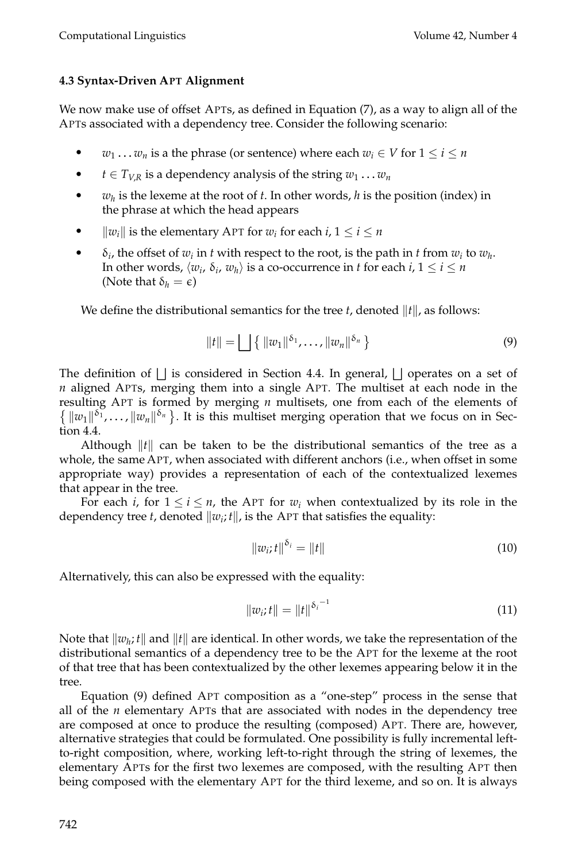## **4.3 Syntax-Driven APT Alignment**

We now make use of offset APTs, as defined in Equation (7), as a way to align all of the APTs associated with a dependency tree. Consider the following scenario:

- $w_1 \ldots w_n$  is a the phrase (or sentence) where each  $w_i \in V$  for  $1 \leq i \leq n$
- $\bullet$  $t \in T_{V,R}$  is a dependency analysis of the string  $w_1 \ldots w_n$
- $w_h$  is the lexeme at the root of *t*. In other words, *h* is the position (index) in the phrase at which the head appears
- *r*  $\|w_i\|$  is the elementary APT for  $w_i$  for each  $i, 1 \le i \le n$
- $\delta_i$ , the offset of  $w_i$  in *t* with respect to the root, is the path in *t* from  $w_i$  to  $w_h$ . In other words,  $\langle w_i, \delta_i, w_h \rangle$  is a co-occurrence in *t* for each *i*,  $1 \le i \le n$ (Note that  $\delta_h = \epsilon$ )

We define the distributional semantics for the tree  $t$ , denoted  $||t||$ , as follows:

$$
||t|| = \bigsqcup \{ ||w_1||^{\delta_1}, \ldots, ||w_n||^{\delta_n} \}
$$
\n(9)

The definition of  $\Box$  is considered in Section 4.4. In general,  $\Box$  operates on a set of *n* aligned APTs, merging them into a single APT. The multiset at each node in the resulting APT is formed by merging *n* multisets, one from each of the elements of  $\{ ||w_1||^{\delta_1}, \ldots, ||w_n||^{\delta_n} \}$ . It is this multiset merging operation that we focus on in Section 4.4.

Although  $\|t\|$  can be taken to be the distributional semantics of the tree as a whole, the same APT, when associated with different anchors (i.e., when offset in some appropriate way) provides a representation of each of the contextualized lexemes that appear in the tree.

For each *i*, for  $1 \le i \le n$ , the APT for  $w_i$  when contextualized by its role in the dependency tree *t*, denoted  $\|w_i;t\|$ , is the APT that satisfies the equality:

$$
||w_{i};t||^{\delta_{i}} = ||t|| \tag{10}
$$

Alternatively, this can also be expressed with the equality:

$$
||w_{i};t|| = ||t||^{\delta_{i}^{-1}}
$$
\n(11)

Note that  $\| w_h; t \|$  and  $\| t \|$  are identical. In other words, we take the representation of the distributional semantics of a dependency tree to be the APT for the lexeme at the root of that tree that has been contextualized by the other lexemes appearing below it in the tree.

Equation (9) defined APT composition as a "one-step" process in the sense that all of the *n* elementary APTs that are associated with nodes in the dependency tree are composed at once to produce the resulting (composed) APT. There are, however, alternative strategies that could be formulated. One possibility is fully incremental leftto-right composition, where, working left-to-right through the string of lexemes, the elementary APTs for the first two lexemes are composed, with the resulting APT then being composed with the elementary APT for the third lexeme, and so on. It is always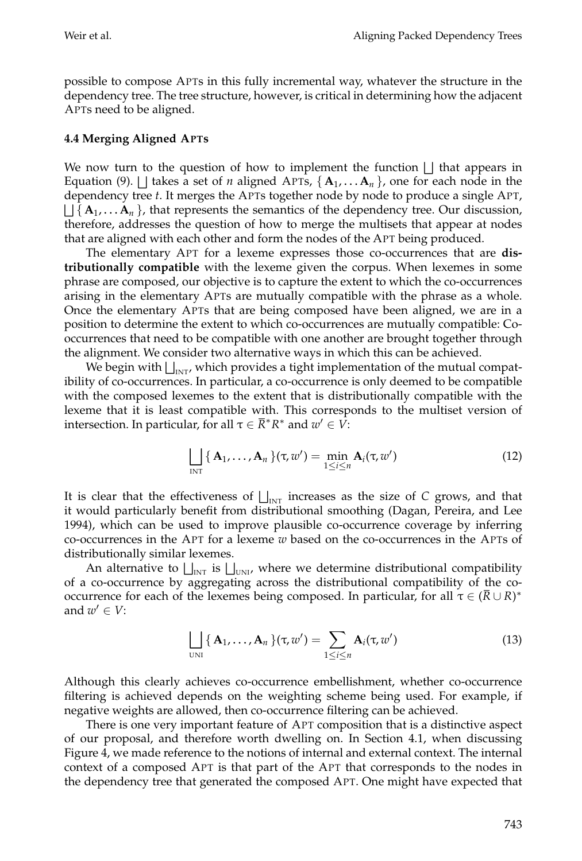possible to compose APTs in this fully incremental way, whatever the structure in the dependency tree. The tree structure, however, is critical in determining how the adjacent APTs need to be aligned.

#### **4.4 Merging Aligned APTs**

We now turn to the question of how to implement the function  $\bigsqcup$  that appears in Equation (9).  $\bigsqcup$  takes a set of *n* aligned APTs,  $\{ \mathbf{A}_1, \dots \mathbf{A}_n \}$ , one for each node in the dependency tree *t*. It merges the APTs together node by node to produce a single APT,  $\bigsqcup$  {  $\mathbf{A}_1$ , ...  $\mathbf{A}_n$  }, that represents the semantics of the dependency tree. Our discussion, therefore, addresses the question of how to merge the multisets that appear at nodes that are aligned with each other and form the nodes of the APT being produced.

The elementary APT for a lexeme expresses those co-occurrences that are **distributionally compatible** with the lexeme given the corpus. When lexemes in some phrase are composed, our objective is to capture the extent to which the co-occurrences arising in the elementary APTs are mutually compatible with the phrase as a whole. Once the elementary APTs that are being composed have been aligned, we are in a position to determine the extent to which co-occurrences are mutually compatible: Cooccurrences that need to be compatible with one another are brought together through the alignment. We consider two alternative ways in which this can be achieved.

We begin with  $\bigsqcup_{\text{INT}}$ , which provides a tight implementation of the mutual compatibility of co-occurrences. In particular, a co-occurrence is only deemed to be compatible with the composed lexemes to the extent that is distributionally compatible with the lexeme that it is least compatible with. This corresponds to the multiset version of intersection. In particular, for all  $\tau \in \overline{R}{}^*R^*$  and  $w' \in \dot{V}$ :

$$
\bigsqcup_{I\!\!N\top} \{ \mathbf{A}_1, \ldots, \mathbf{A}_n \} (\tau, w') = \min_{1 \leq i \leq n} \mathbf{A}_i (\tau, w') \tag{12}
$$

It is clear that the effectiveness of  $\bigsqcup_{\text{INT}}$  increases as the size of *C* grows, and that it would particularly benefit from distributional smoothing (Dagan, Pereira, and Lee 1994), which can be used to improve plausible co-occurrence coverage by inferring co-occurrences in the APT for a lexeme *w* based on the co-occurrences in the APTs of distributionally similar lexemes.

An alternative to  $\bigsqcup_{\text{INT}}$  is  $\bigsqcup_{\text{UNI}}$ , where we determine distributional compatibility of a co-occurrence by aggregating across the distributional compatibility of the cooccurrence for each of the lexemes being composed. In particular, for all  $\tau \in (\bar{R} \cup R)^*$ and  $w' \in V$ :

$$
\bigsqcup_{\text{UNI}} \{ \mathbf{A}_1, \dots, \mathbf{A}_n \}(\tau, w') = \sum_{1 \leq i \leq n} \mathbf{A}_i(\tau, w') \tag{13}
$$

Although this clearly achieves co-occurrence embellishment, whether co-occurrence filtering is achieved depends on the weighting scheme being used. For example, if negative weights are allowed, then co-occurrence filtering can be achieved.

There is one very important feature of APT composition that is a distinctive aspect of our proposal, and therefore worth dwelling on. In Section 4.1, when discussing Figure 4, we made reference to the notions of internal and external context. The internal context of a composed APT is that part of the APT that corresponds to the nodes in the dependency tree that generated the composed APT. One might have expected that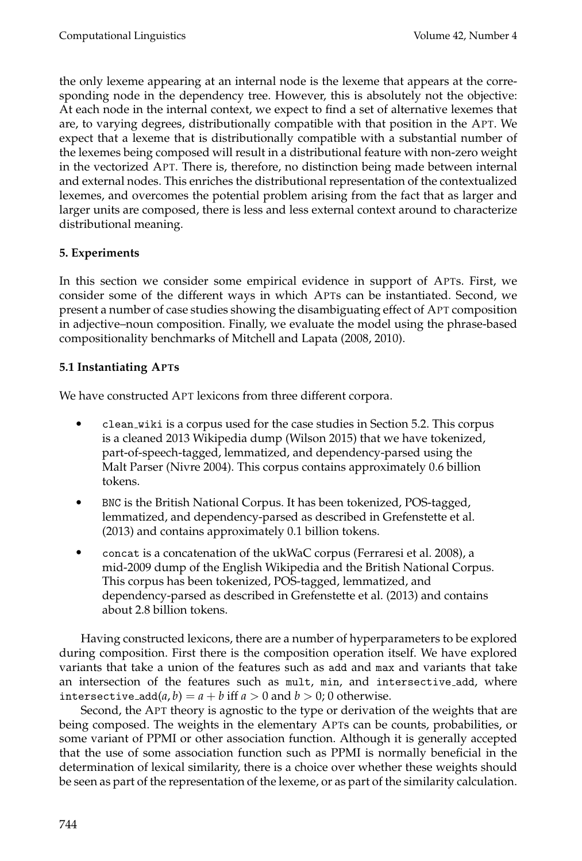the only lexeme appearing at an internal node is the lexeme that appears at the corresponding node in the dependency tree. However, this is absolutely not the objective: At each node in the internal context, we expect to find a set of alternative lexemes that are, to varying degrees, distributionally compatible with that position in the APT. We expect that a lexeme that is distributionally compatible with a substantial number of the lexemes being composed will result in a distributional feature with non-zero weight in the vectorized APT. There is, therefore, no distinction being made between internal and external nodes. This enriches the distributional representation of the contextualized lexemes, and overcomes the potential problem arising from the fact that as larger and larger units are composed, there is less and less external context around to characterize distributional meaning.

## **5. Experiments**

In this section we consider some empirical evidence in support of APTs. First, we consider some of the different ways in which APTs can be instantiated. Second, we present a number of case studies showing the disambiguating effect of APT composition in adjective–noun composition. Finally, we evaluate the model using the phrase-based compositionality benchmarks of Mitchell and Lapata (2008, 2010).

## **5.1 Instantiating APTs**

We have constructed APT lexicons from three different corpora.

- r clean wiki is a corpus used for the case studies in Section 5.2. This corpus is a cleaned 2013 Wikipedia dump (Wilson 2015) that we have tokenized, part-of-speech-tagged, lemmatized, and dependency-parsed using the Malt Parser (Nivre 2004). This corpus contains approximately 0.6 billion tokens.
- BNC is the British National Corpus. It has been tokenized, POS-tagged, lemmatized, and dependency-parsed as described in Grefenstette et al. (2013) and contains approximately 0.1 billion tokens.
- r concat is a concatenation of the ukWaC corpus (Ferraresi et al. 2008), a mid-2009 dump of the English Wikipedia and the British National Corpus. This corpus has been tokenized, POS-tagged, lemmatized, and dependency-parsed as described in Grefenstette et al. (2013) and contains about 2.8 billion tokens.

Having constructed lexicons, there are a number of hyperparameters to be explored during composition. First there is the composition operation itself. We have explored variants that take a union of the features such as add and max and variants that take an intersection of the features such as mult, min, and intersective add, where intersective\_add( $a$ ,  $b$ ) =  $a + b$  iff  $a > 0$  and  $b > 0$ ; 0 otherwise.

Second, the APT theory is agnostic to the type or derivation of the weights that are being composed. The weights in the elementary APTs can be counts, probabilities, or some variant of PPMI or other association function. Although it is generally accepted that the use of some association function such as PPMI is normally beneficial in the determination of lexical similarity, there is a choice over whether these weights should be seen as part of the representation of the lexeme, or as part of the similarity calculation.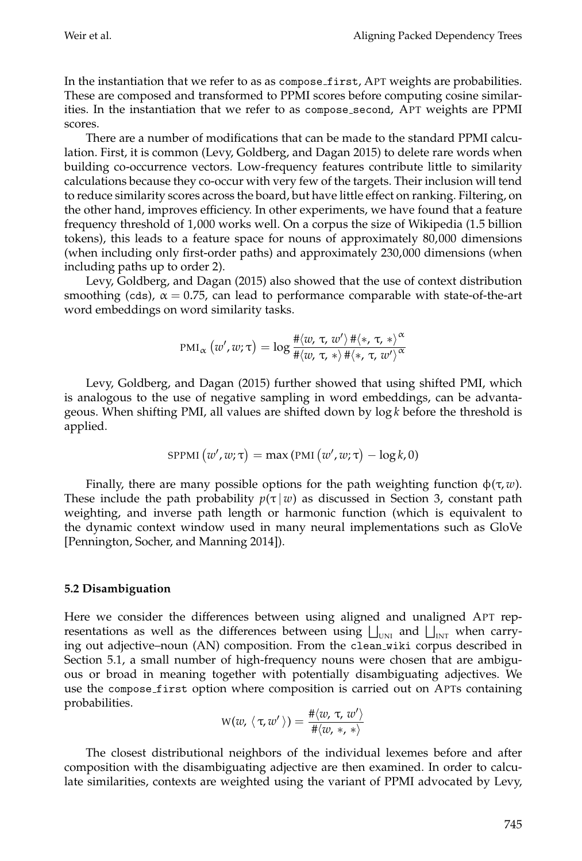In the instantiation that we refer to as as compose first, APT weights are probabilities. These are composed and transformed to PPMI scores before computing cosine similarities. In the instantiation that we refer to as compose second, APT weights are PPMI scores.

There are a number of modifications that can be made to the standard PPMI calculation. First, it is common (Levy, Goldberg, and Dagan 2015) to delete rare words when building co-occurrence vectors. Low-frequency features contribute little to similarity calculations because they co-occur with very few of the targets. Their inclusion will tend to reduce similarity scores across the board, but have little effect on ranking. Filtering, on the other hand, improves efficiency. In other experiments, we have found that a feature frequency threshold of 1,000 works well. On a corpus the size of Wikipedia (1.5 billion tokens), this leads to a feature space for nouns of approximately 80,000 dimensions (when including only first-order paths) and approximately 230,000 dimensions (when including paths up to order 2).

Levy, Goldberg, and Dagan (2015) also showed that the use of context distribution smoothing (cds),  $\alpha = 0.75$ , can lead to performance comparable with state-of-the-art word embeddings on word similarity tasks.

$$
PMI_{\alpha}(w', w; \tau) = \log \frac{\# \langle w, \tau, w' \rangle \# \langle *, \tau, * \rangle^{\alpha}}{\# \langle w, \tau, * \rangle \# \langle *, \tau, w' \rangle^{\alpha}}
$$

Levy, Goldberg, and Dagan (2015) further showed that using shifted PMI, which is analogous to the use of negative sampling in word embeddings, can be advantageous. When shifting PMI, all values are shifted down by log *k* before the threshold is applied.

$$
SPPMI(w', w; \tau) = \max (PMI(w', w; \tau) - \log k, 0)
$$

Finally, there are many possible options for the path weighting function  $\phi(\tau, w)$ . These include the path probability  $p(\tau | w)$  as discussed in Section 3, constant path weighting, and inverse path length or harmonic function (which is equivalent to the dynamic context window used in many neural implementations such as GloVe [Pennington, Socher, and Manning 2014]).

#### **5.2 Disambiguation**

Here we consider the differences between using aligned and unaligned APT representations as well as the differences between using  $\bigsqcup_{\text{\tiny{UNI}}}$  and  $\bigsqcup_{\text{\tiny{INT}}}$  when carrying out adjective–noun (AN) composition. From the clean wiki corpus described in Section 5.1, a small number of high-frequency nouns were chosen that are ambiguous or broad in meaning together with potentially disambiguating adjectives. We use the compose first option where composition is carried out on APTs containing probabilities.

$$
W(w, \langle \tau, w' \rangle) = \frac{\# \langle w, \tau, w' \rangle}{\# \langle w, \ast, \ast \rangle}
$$

The closest distributional neighbors of the individual lexemes before and after composition with the disambiguating adjective are then examined. In order to calculate similarities, contexts are weighted using the variant of PPMI advocated by Levy,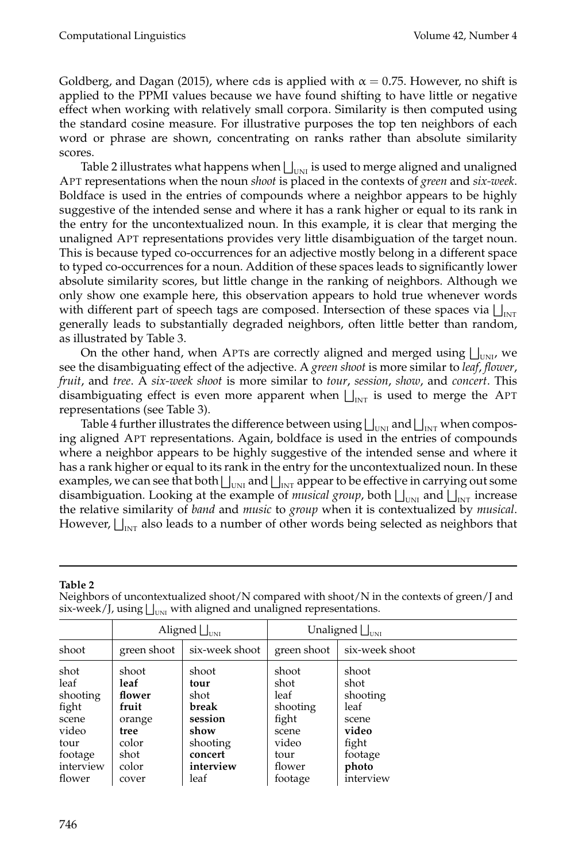Goldberg, and Dagan (2015), where cds is applied with  $\alpha = 0.75$ . However, no shift is applied to the PPMI values because we have found shifting to have little or negative effect when working with relatively small corpora. Similarity is then computed using the standard cosine measure. For illustrative purposes the top ten neighbors of each word or phrase are shown, concentrating on ranks rather than absolute similarity scores.

Table 2 illustrates what happens when  $\bigsqcup_{\text{\tiny{UNI}}}$  is used to merge aligned and unaligned APT representations when the noun *shoot* is placed in the contexts of *green* and *six-week*. Boldface is used in the entries of compounds where a neighbor appears to be highly suggestive of the intended sense and where it has a rank higher or equal to its rank in the entry for the uncontextualized noun. In this example, it is clear that merging the unaligned APT representations provides very little disambiguation of the target noun. This is because typed co-occurrences for an adjective mostly belong in a different space to typed co-occurrences for a noun. Addition of these spaces leads to significantly lower absolute similarity scores, but little change in the ranking of neighbors. Although we only show one example here, this observation appears to hold true whenever words with different part of speech tags are composed. Intersection of these spaces via  $\bigsqcup_{\text{INT}}$ generally leads to substantially degraded neighbors, often little better than random, as illustrated by Table 3.

On the other hand, when APTs are correctly aligned and merged using  $\bigsqcup_{UNI}$ , we see the disambiguating effect of the adjective. A *green shoot* is more similar to *leaf*, *flower*, *fruit*, and *tree*. A *six-week shoot* is more similar to *tour*, *session*, *show*, and *concert*. This disambiguating effect is even more apparent when  $\bigsqcup_{i\ge 1}$  is used to merge the APT representations (see Table 3).

Table 4 further illustrates the difference between using  $\bigsqcup_{\text{\tiny{UNI}}}$  and  $\bigsqcup_{\text{\tiny{INT}}}$  when composing aligned APT representations. Again, boldface is used in the entries of compounds where a neighbor appears to be highly suggestive of the intended sense and where it has a rank higher or equal to its rank in the entry for the uncontextualized noun. In these examples, we can see that both  $\bigsqcup_{\text{\tiny{UNI}}}$  and  $\bigsqcup_{\text{\tiny{INT}}}$  appear to be effective in carrying out some disambiguation. Looking at the example of *musical group*, both  $\bigsqcup_{UNI}$  and  $\bigsqcup_{INT}$  increase the relative similarity of *band* and *music* to *group* when it is contextualized by *musical*. However,  $\bigsqcup_{\text{INT}}$  also leads to a number of other words being selected as neighbors that

#### **Table 2**

|                                                                                               | Aligned $\bigsqcup_{\text{\tiny{UNI}}}$                                               |                                                                                               |                                                                                           | Unaligned $\bigsqcup_{\text{UNI}}$                                                            |
|-----------------------------------------------------------------------------------------------|---------------------------------------------------------------------------------------|-----------------------------------------------------------------------------------------------|-------------------------------------------------------------------------------------------|-----------------------------------------------------------------------------------------------|
| shoot                                                                                         | green shoot                                                                           | six-week shoot                                                                                | green shoot                                                                               | six-week shoot                                                                                |
| shot<br>leaf<br>shooting<br>fight<br>scene<br>video<br>tour<br>footage<br>interview<br>flower | shoot<br>leaf<br>flower<br>fruit<br>orange<br>tree<br>color<br>shot<br>color<br>cover | shoot<br>tour<br>shot<br>break<br>session<br>show<br>shooting<br>concert<br>interview<br>leaf | shoot<br>shot<br>leaf<br>shooting<br>fight<br>scene<br>video<br>tour<br>flower<br>footage | shoot<br>shot<br>shooting<br>leaf<br>scene<br>video<br>fight<br>footage<br>photo<br>interview |

Neighbors of uncontextualized shoot/N compared with shoot/N in the contexts of green/J and six-week/J, using  $\bigsqcup_{\scriptscriptstyle \rm UNI}$  with aligned and unaligned representations.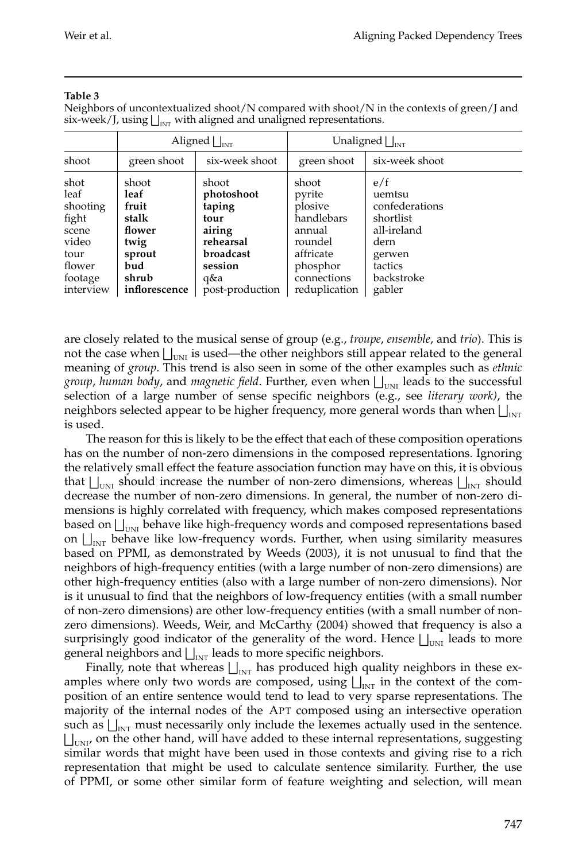#### **Table 3**

Neighbors of uncontextualized shoot/N compared with shoot/N in the contexts of green/J and six-week/J, using  $\bigsqcup_{\scriptscriptstyle\rm INT}$  with aligned and unaligned representations.

|                                                                                               | Aligned $\bigsqcup_{\text{INT}}$                                                             |                                                                                                                |                                                                                                                        | Unaligned $\bigsqcup_{\text{INT}}$                                                                               |
|-----------------------------------------------------------------------------------------------|----------------------------------------------------------------------------------------------|----------------------------------------------------------------------------------------------------------------|------------------------------------------------------------------------------------------------------------------------|------------------------------------------------------------------------------------------------------------------|
| shoot                                                                                         | green shoot                                                                                  | six-week shoot                                                                                                 | green shoot                                                                                                            | six-week shoot                                                                                                   |
| shot<br>leaf<br>shooting<br>fight<br>scene<br>video<br>tour<br>flower<br>footage<br>interview | shoot<br>leaf<br>fruit<br>stalk<br>flower<br>twig<br>sprout<br>bud<br>shrub<br>inflorescence | shoot<br>photoshoot<br>taping<br>tour<br>airing<br>rehearsal<br>broadcast<br>session<br>q&a<br>post-production | shoot<br>pyrite<br>plosive<br>handlebars<br>annual<br>roundel<br>affricate<br>phosphor<br>connections<br>reduplication | e/f<br>uemtsu<br>confederations<br>shortlist<br>all-ireland<br>dern<br>gerwen<br>tactics<br>backstroke<br>gabler |

are closely related to the musical sense of group (e.g., *troupe*, *ensemble*, and *trio*). This is not the case when  $\bigsqcup_{\scriptscriptstyle \rm UNI}$  is used—the other neighbors still appear related to the general meaning of *group*. This trend is also seen in some of the other examples such as *ethnic* group, human body, and magnetic field. Further, even when  $\bigsqcup_{\text{\tiny{UNI}}}$  leads to the successful selection of a large number of sense specific neighbors (e.g., see *literary work)*, the neighbors selected appear to be higher frequency, more general words than when  $\bigsqcup_{\text{\tiny{INT}}}$ is used.

The reason for this is likely to be the effect that each of these composition operations has on the number of non-zero dimensions in the composed representations. Ignoring the relatively small effect the feature association function may have on this, it is obvious that  $\bigsqcup_{\text{\tiny{UNI}}}$  should increase the number of non-zero dimensions, whereas  $\bigsqcup_{\text{\tiny{INT}}}$  should decrease the number of non-zero dimensions. In general, the number of non-zero dimensions is highly correlated with frequency, which makes composed representations based on  $\bigsqcup_{\text{\tiny{UNI}}}$  behave like high-frequency words and composed representations based on  $\bigsqcup_{\text{\tiny{INT}}}$  behave like low-frequency words. Further, when using similarity measures based on PPMI, as demonstrated by Weeds (2003), it is not unusual to find that the neighbors of high-frequency entities (with a large number of non-zero dimensions) are other high-frequency entities (also with a large number of non-zero dimensions). Nor is it unusual to find that the neighbors of low-frequency entities (with a small number of non-zero dimensions) are other low-frequency entities (with a small number of nonzero dimensions). Weeds, Weir, and McCarthy (2004) showed that frequency is also a surprisingly good indicator of the generality of the word. Hence  $\bigsqcup_{\text{\tiny{UNI}}}$  leads to more general neighbors and  $\bigsqcup_{\text{INT}}$  leads to more specific neighbors.

Finally, note that whereas  $\bigsqcup_{\text{INT}}$  has produced high quality neighbors in these examples where only two words are composed, using  $\bigsqcup_{\text{INT}}$  in the context of the composition of an entire sentence would tend to lead to very sparse representations. The majority of the internal nodes of the APT composed using an intersective operation such as  $\bigsqcup_{\text{INT}}$  must necessarily only include the lexemes actually used in the sentence.  $\bigsqcup_{\text{UNI}}$ , on the other hand, will have added to these internal representations, suggesting similar words that might have been used in those contexts and giving rise to a rich representation that might be used to calculate sentence similarity. Further, the use of PPMI, or some other similar form of feature weighting and selection, will mean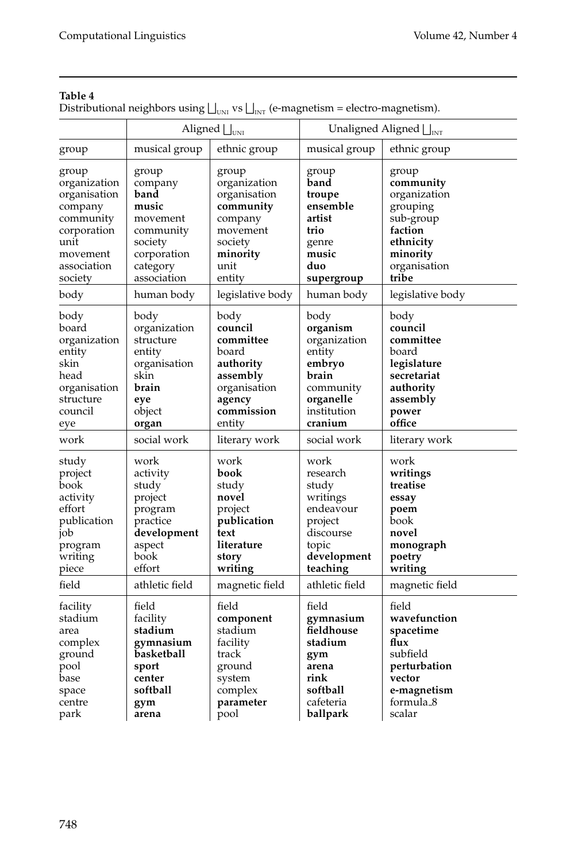#### **Table 4**

Distributional neighbors using  $\bigsqcup_{\scriptscriptstyle \rm UNI}$  vs  $\bigsqcup_{\scriptscriptstyle \rm INI}$  (e-magnetism = electro-magnetism).

|                                                                                                                            | Aligned $\bigsqcup_{\scriptscriptstyle \text{UNI}}$                                                             |                                                                                                                    | Unaligned Aligned $\bigsqcup_{\text{INT}}$                                                                        |                                                                                                                          |  |
|----------------------------------------------------------------------------------------------------------------------------|-----------------------------------------------------------------------------------------------------------------|--------------------------------------------------------------------------------------------------------------------|-------------------------------------------------------------------------------------------------------------------|--------------------------------------------------------------------------------------------------------------------------|--|
| group                                                                                                                      | musical group                                                                                                   | ethnic group                                                                                                       | musical group                                                                                                     | ethnic group                                                                                                             |  |
| group<br>organization<br>organisation<br>company<br>community<br>corporation<br>unit<br>movement<br>association<br>society | group<br>company<br>band<br>music<br>movement<br>community<br>society<br>corporation<br>category<br>association | group<br>organization<br>organisation<br>community<br>company<br>movement<br>society<br>minority<br>unit<br>entity | group<br>band<br>troupe<br>ensemble<br>artist<br>trio<br>genre<br>music<br>duo<br>supergroup                      | group<br>community<br>organization<br>grouping<br>sub-group<br>faction<br>ethnicity<br>minority<br>organisation<br>tribe |  |
| body                                                                                                                       | human body                                                                                                      | legislative body                                                                                                   | human body                                                                                                        | legislative body                                                                                                         |  |
| body<br>board<br>organization<br>entity<br>skin<br>head<br>organisation<br>structure<br>council<br>eye                     | body<br>organization<br>structure<br>entity<br>organisation<br>skin<br>brain<br>eye<br>object<br>organ          | body<br>council<br>committee<br>board<br>authority<br>assembly<br>organisation<br>agency<br>commission<br>entity   | body<br>organism<br>organization<br>entity<br>embryo<br>brain<br>community<br>organelle<br>institution<br>cranium | body<br>council<br>committee<br>board<br>legislature<br>secretariat<br>authority<br>assembly<br>power<br>office          |  |
| work                                                                                                                       | social work                                                                                                     | literary work                                                                                                      | social work                                                                                                       | literary work                                                                                                            |  |
| study<br>project<br>book<br>activity<br>effort<br>publication<br>job<br>program<br>writing<br>piece                        | work<br>activity<br>study<br>project<br>program<br>practice<br>development<br>aspect<br>book<br>effort          | work<br>book<br>study<br>novel<br>project<br>publication<br>text<br>literature<br>story<br>writing                 | work<br>research<br>study<br>writings<br>endeavour<br>project<br>discourse<br>topic<br>development<br>teaching    | work<br>writings<br>treatise<br>essay<br>poem<br>book<br>novel<br>monograph<br>poetry<br>writing                         |  |
| field                                                                                                                      | athletic field                                                                                                  | magnetic field                                                                                                     | athletic field                                                                                                    | magnetic field                                                                                                           |  |
| facility<br>stadium<br>area<br>complex<br>ground<br>pool<br>base<br>space<br>centre<br>park                                | field<br>facility<br>stadium<br>gymnasium<br>basketball<br>sport<br>center<br>softball<br>gym<br>arena          | field<br>component<br>stadium<br>facility<br>track<br>ground<br>system<br>complex<br>parameter<br>pool             | field<br>gymnasium<br>fieldhouse<br>stadium<br>gym<br>arena<br>rink<br>softball<br>cafeteria<br>ballpark          | field<br>wavefunction<br>spacetime<br>flux<br>subfield<br>perturbation<br>vector<br>e-magnetism<br>formula_8<br>scalar   |  |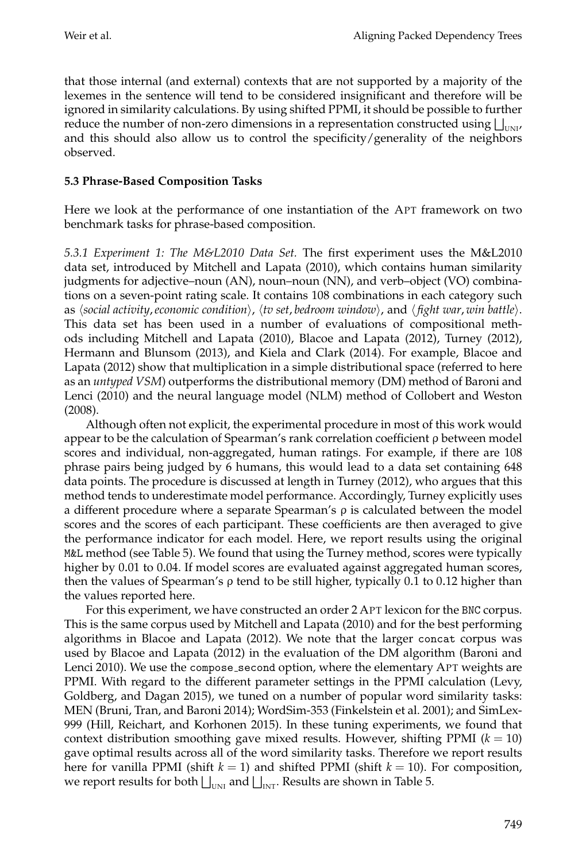that those internal (and external) contexts that are not supported by a majority of the lexemes in the sentence will tend to be considered insignificant and therefore will be ignored in similarity calculations. By using shifted PPMI, it should be possible to further reduce the number of non-zero dimensions in a representation constructed using  $\bigsqcup_{\text{\tiny{UNI}}}$ and this should also allow us to control the specificity/generality of the neighbors observed.

## **5.3 Phrase-Based Composition Tasks**

Here we look at the performance of one instantiation of the APT framework on two benchmark tasks for phrase-based composition.

*5.3.1 Experiment 1: The M&L2010 Data Set.* The first experiment uses the M&L2010 data set, introduced by Mitchell and Lapata (2010), which contains human similarity judgments for adjective–noun (AN), noun–noun (NN), and verb–object (VO) combinations on a seven-point rating scale. It contains 108 combinations in each category such as  $\langle \text{social activity}, \text{economic condition} \rangle$ ,  $\langle \text{to set}, \text{bedroom window} \rangle$ , and  $\langle \text{ fight war}, \text{win battle} \rangle$ . This data set has been used in a number of evaluations of compositional methods including Mitchell and Lapata (2010), Blacoe and Lapata (2012), Turney (2012), Hermann and Blunsom (2013), and Kiela and Clark (2014). For example, Blacoe and Lapata (2012) show that multiplication in a simple distributional space (referred to here as an *untyped VSM*) outperforms the distributional memory (DM) method of Baroni and Lenci (2010) and the neural language model (NLM) method of Collobert and Weston (2008).

Although often not explicit, the experimental procedure in most of this work would appear to be the calculation of Spearman's rank correlation coefficient ρ between model scores and individual, non-aggregated, human ratings. For example, if there are 108 phrase pairs being judged by 6 humans, this would lead to a data set containing 648 data points. The procedure is discussed at length in Turney (2012), who argues that this method tends to underestimate model performance. Accordingly, Turney explicitly uses a different procedure where a separate Spearman's ρ is calculated between the model scores and the scores of each participant. These coefficients are then averaged to give the performance indicator for each model. Here, we report results using the original M&L method (see Table 5). We found that using the Turney method, scores were typically higher by 0.01 to 0.04. If model scores are evaluated against aggregated human scores, then the values of Spearman's ρ tend to be still higher, typically 0.1 to 0.12 higher than the values reported here.

For this experiment, we have constructed an order 2 APT lexicon for the BNC corpus. This is the same corpus used by Mitchell and Lapata (2010) and for the best performing algorithms in Blacoe and Lapata (2012). We note that the larger concat corpus was used by Blacoe and Lapata (2012) in the evaluation of the DM algorithm (Baroni and Lenci 2010). We use the compose second option, where the elementary APT weights are PPMI. With regard to the different parameter settings in the PPMI calculation (Levy, Goldberg, and Dagan 2015), we tuned on a number of popular word similarity tasks: MEN (Bruni, Tran, and Baroni 2014); WordSim-353 (Finkelstein et al. 2001); and SimLex-999 (Hill, Reichart, and Korhonen 2015). In these tuning experiments, we found that context distribution smoothing gave mixed results. However, shifting PPMI  $(k = 10)$ gave optimal results across all of the word similarity tasks. Therefore we report results here for vanilla PPMI (shift  $k = 1$ ) and shifted PPMI (shift  $k = 10$ ). For composition, we report results for both  $\bigsqcup_{UNI}$  and  $\bigsqcup_{INT}$ . Results are shown in Table 5.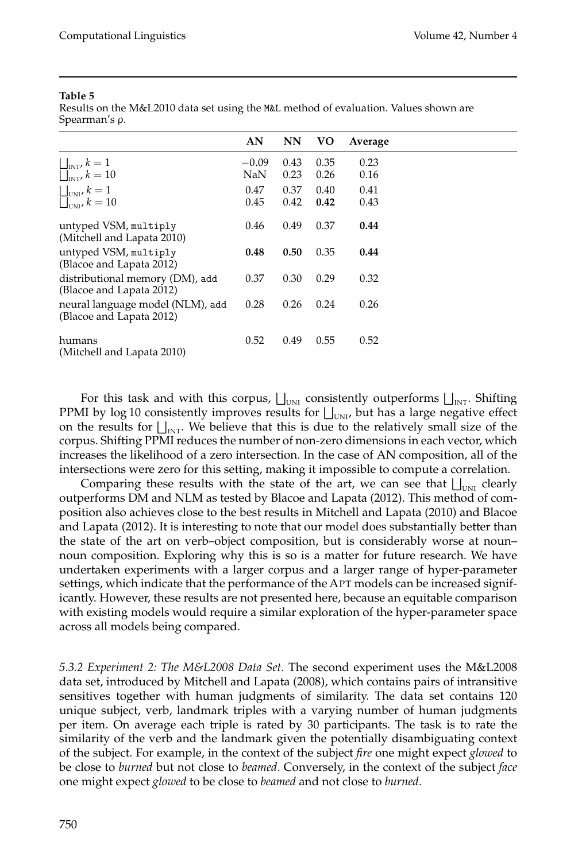#### **Table 5**

Results on the M&L2010 data set using the M&L method of evaluation. Values shown are Spearman's ρ.

|                                                                     | AN             | NN           | VO           | Average      |  |
|---------------------------------------------------------------------|----------------|--------------|--------------|--------------|--|
| $\bigsqcup_{\text{INT}}$ , $k=1$<br>$\prod_{\text{INT}} k = 10$     | $-0.09$<br>NaN | 0.43<br>0.23 | 0.35<br>0.26 | 0.23<br>0.16 |  |
| $\bigsqcup_{\text{UNI}'} k = 1$<br>$\bigsqcup_{\text{UNI}'} k = 10$ | 0.47<br>0.45   | 0.37<br>0.42 | 0.40<br>0.42 | 0.41<br>0.43 |  |
| untyped VSM, multiply<br>(Mitchell and Lapata 2010)                 | 0.46           | 0.49         | 0.37         | 0.44         |  |
| untyped VSM, multiply<br>(Blacoe and Lapata 2012)                   | 0.48           | 0.50         | 0.35         | 0.44         |  |
| distributional memory (DM), add<br>(Blacoe and Lapata 2012)         | 0.37           | 0.30         | 0.29         | 0.32         |  |
| neural language model (NLM), add<br>(Blacoe and Lapata 2012)        | 0.28           | 0.26         | 0.24         | 0.26         |  |
| humans<br>(Mitchell and Lapata 2010)                                | 0.52           | 0.49         | 0.55         | 0.52         |  |

For this task and with this corpus,  $\bigsqcup_{UNI}$  consistently outperforms  $\bigsqcup_{INI}$ . Shifting PPMI by log 10 consistently improves results for  $\bigsqcup_{\text{UNI}}$ , but has a large negative effect on the results for  $\bigsqcup_{\text{INT}}$ . We believe that this is due to the relatively small size of the corpus. Shifting PPMI reduces the number of non-zero dimensions in each vector, which increases the likelihood of a zero intersection. In the case of AN composition, all of the intersections were zero for this setting, making it impossible to compute a correlation.

Comparing these results with the state of the art, we can see that  $\bigsqcup_{UNI}$  clearly outperforms DM and NLM as tested by Blacoe and Lapata (2012). This method of composition also achieves close to the best results in Mitchell and Lapata (2010) and Blacoe and Lapata (2012). It is interesting to note that our model does substantially better than the state of the art on verb–object composition, but is considerably worse at noun– noun composition. Exploring why this is so is a matter for future research. We have undertaken experiments with a larger corpus and a larger range of hyper-parameter settings, which indicate that the performance of the APT models can be increased significantly. However, these results are not presented here, because an equitable comparison with existing models would require a similar exploration of the hyper-parameter space across all models being compared.

*5.3.2 Experiment 2: The M&L2008 Data Set.* The second experiment uses the M&L2008 data set, introduced by Mitchell and Lapata (2008), which contains pairs of intransitive sensitives together with human judgments of similarity. The data set contains 120 unique subject, verb, landmark triples with a varying number of human judgments per item. On average each triple is rated by 30 participants. The task is to rate the similarity of the verb and the landmark given the potentially disambiguating context of the subject. For example, in the context of the subject *fire* one might expect *glowed* to be close to *burned* but not close to *beamed*. Conversely, in the context of the subject *face* one might expect *glowed* to be close to *beamed* and not close to *burned*.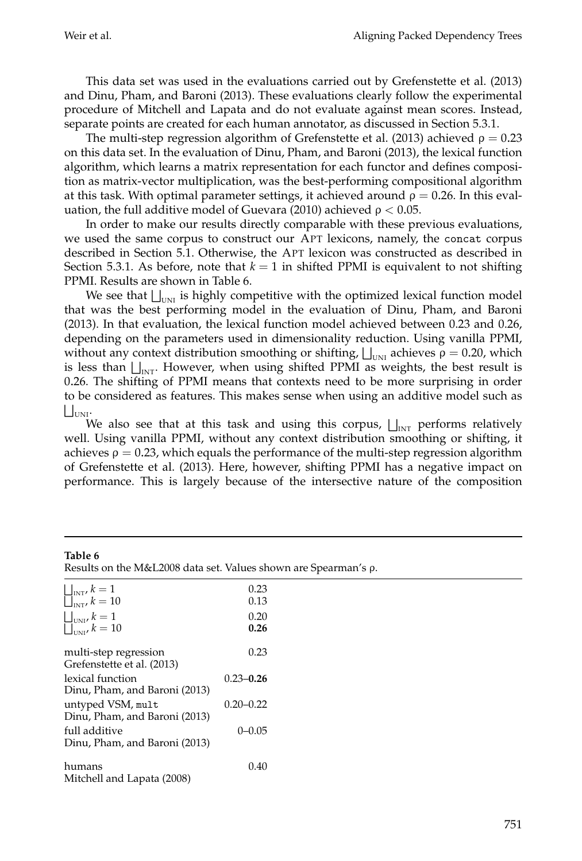**Table 6**

This data set was used in the evaluations carried out by Grefenstette et al. (2013) and Dinu, Pham, and Baroni (2013). These evaluations clearly follow the experimental procedure of Mitchell and Lapata and do not evaluate against mean scores. Instead, separate points are created for each human annotator, as discussed in Section 5.3.1.

The multi-step regression algorithm of Grefenstette et al. (2013) achieved  $\rho = 0.23$ on this data set. In the evaluation of Dinu, Pham, and Baroni (2013), the lexical function algorithm, which learns a matrix representation for each functor and defines composition as matrix-vector multiplication, was the best-performing compositional algorithm at this task. With optimal parameter settings, it achieved around  $\rho = 0.26$ . In this evaluation, the full additive model of Guevara (2010) achieved  $\rho < 0.05$ .

In order to make our results directly comparable with these previous evaluations, we used the same corpus to construct our APT lexicons, namely, the concat corpus described in Section 5.1. Otherwise, the APT lexicon was constructed as described in Section 5.3.1. As before, note that  $k = 1$  in shifted PPMI is equivalent to not shifting PPMI. Results are shown in Table 6.

We see that  $\bigsqcup_{\text{UNI}}$  is highly competitive with the optimized lexical function model that was the best performing model in the evaluation of Dinu, Pham, and Baroni (2013). In that evaluation, the lexical function model achieved between 0.23 and 0.26, depending on the parameters used in dimensionality reduction. Using vanilla PPMI, without any context distribution smoothing or shifting,  $\bigsqcup_{UNI}$  achieves  $\rho = 0.20$ , which is less than  $\bigsqcup_{\text{INT}}$ . However, when using shifted PPMI as weights, the best result is 0.26. The shifting of PPMI means that contexts need to be more surprising in order to be considered as features. This makes sense when using an additive model such as  $\bigsqcup_{\text{UNI}}$ .

We also see that at this task and using this corpus,  $\bigsqcup_{\text{INT}}$  performs relatively well. Using vanilla PPMI, without any context distribution smoothing or shifting, it achieves  $\rho = 0.23$ , which equals the performance of the multi-step regression algorithm of Grefenstette et al. (2013). Here, however, shifting PPMI has a negative impact on performance. This is largely because of the intersective nature of the composition

| Results on the M&L2008 data set. Values shown are Spearman's ρ.        |               |  |  |
|------------------------------------------------------------------------|---------------|--|--|
| $\bigsqcup_{N\in\mathcal{V}}k=1$<br>$\prod_{N\in\mathcal{N}}^m k = 10$ | 0.23<br>0.13  |  |  |
| $\bigcup_{UNI'} k = 1$ $\bigcup_{UNI'} k = 10$                         | 0.20<br>0.26  |  |  |
| multi-step regression<br>Grefenstette et al. (2013)                    | 0.23          |  |  |
| lexical function<br>Dinu, Pham, and Baroni (2013)                      | $0.23 - 0.26$ |  |  |
| untyped VSM, mult<br>Dinu, Pham, and Baroni (2013)                     | $0.20 - 0.22$ |  |  |
| full additive<br>Dinu, Pham, and Baroni (2013)                         | $0 - 0.05$    |  |  |
| humans<br>Mitchell and Lapata (2008)                                   | 0.40          |  |  |

|  | Results on the M&L2008 data set. Values shown are Spearman's p. |
|--|-----------------------------------------------------------------|
|--|-----------------------------------------------------------------|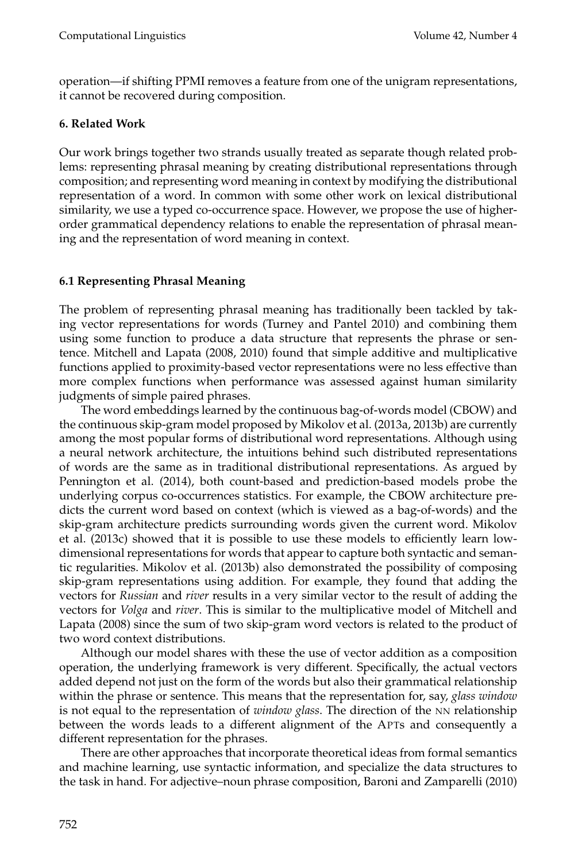operation—if shifting PPMI removes a feature from one of the unigram representations, it cannot be recovered during composition.

#### **6. Related Work**

Our work brings together two strands usually treated as separate though related problems: representing phrasal meaning by creating distributional representations through composition; and representing word meaning in context by modifying the distributional representation of a word. In common with some other work on lexical distributional similarity, we use a typed co-occurrence space. However, we propose the use of higherorder grammatical dependency relations to enable the representation of phrasal meaning and the representation of word meaning in context.

## **6.1 Representing Phrasal Meaning**

The problem of representing phrasal meaning has traditionally been tackled by taking vector representations for words (Turney and Pantel 2010) and combining them using some function to produce a data structure that represents the phrase or sentence. Mitchell and Lapata (2008, 2010) found that simple additive and multiplicative functions applied to proximity-based vector representations were no less effective than more complex functions when performance was assessed against human similarity judgments of simple paired phrases.

The word embeddings learned by the continuous bag-of-words model (CBOW) and the continuous skip-gram model proposed by Mikolov et al. (2013a, 2013b) are currently among the most popular forms of distributional word representations. Although using a neural network architecture, the intuitions behind such distributed representations of words are the same as in traditional distributional representations. As argued by Pennington et al. (2014), both count-based and prediction-based models probe the underlying corpus co-occurrences statistics. For example, the CBOW architecture predicts the current word based on context (which is viewed as a bag-of-words) and the skip-gram architecture predicts surrounding words given the current word. Mikolov et al. (2013c) showed that it is possible to use these models to efficiently learn lowdimensional representations for words that appear to capture both syntactic and semantic regularities. Mikolov et al. (2013b) also demonstrated the possibility of composing skip-gram representations using addition. For example, they found that adding the vectors for *Russian* and *river* results in a very similar vector to the result of adding the vectors for *Volga* and *river*. This is similar to the multiplicative model of Mitchell and Lapata (2008) since the sum of two skip-gram word vectors is related to the product of two word context distributions.

Although our model shares with these the use of vector addition as a composition operation, the underlying framework is very different. Specifically, the actual vectors added depend not just on the form of the words but also their grammatical relationship within the phrase or sentence. This means that the representation for, say, *glass window* is not equal to the representation of *window glass*. The direction of the NN relationship between the words leads to a different alignment of the APTs and consequently a different representation for the phrases.

There are other approaches that incorporate theoretical ideas from formal semantics and machine learning, use syntactic information, and specialize the data structures to the task in hand. For adjective–noun phrase composition, Baroni and Zamparelli (2010)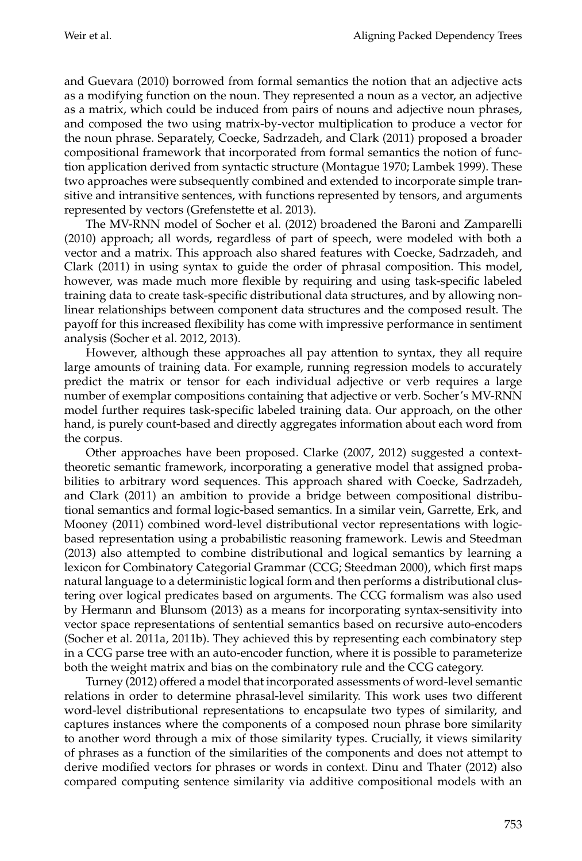and Guevara (2010) borrowed from formal semantics the notion that an adjective acts as a modifying function on the noun. They represented a noun as a vector, an adjective as a matrix, which could be induced from pairs of nouns and adjective noun phrases, and composed the two using matrix-by-vector multiplication to produce a vector for the noun phrase. Separately, Coecke, Sadrzadeh, and Clark (2011) proposed a broader compositional framework that incorporated from formal semantics the notion of function application derived from syntactic structure (Montague 1970; Lambek 1999). These two approaches were subsequently combined and extended to incorporate simple transitive and intransitive sentences, with functions represented by tensors, and arguments represented by vectors (Grefenstette et al. 2013).

The MV-RNN model of Socher et al. (2012) broadened the Baroni and Zamparelli (2010) approach; all words, regardless of part of speech, were modeled with both a vector and a matrix. This approach also shared features with Coecke, Sadrzadeh, and Clark (2011) in using syntax to guide the order of phrasal composition. This model, however, was made much more flexible by requiring and using task-specific labeled training data to create task-specific distributional data structures, and by allowing nonlinear relationships between component data structures and the composed result. The payoff for this increased flexibility has come with impressive performance in sentiment analysis (Socher et al. 2012, 2013).

However, although these approaches all pay attention to syntax, they all require large amounts of training data. For example, running regression models to accurately predict the matrix or tensor for each individual adjective or verb requires a large number of exemplar compositions containing that adjective or verb. Socher's MV-RNN model further requires task-specific labeled training data. Our approach, on the other hand, is purely count-based and directly aggregates information about each word from the corpus.

Other approaches have been proposed. Clarke (2007, 2012) suggested a contexttheoretic semantic framework, incorporating a generative model that assigned probabilities to arbitrary word sequences. This approach shared with Coecke, Sadrzadeh, and Clark (2011) an ambition to provide a bridge between compositional distributional semantics and formal logic-based semantics. In a similar vein, Garrette, Erk, and Mooney (2011) combined word-level distributional vector representations with logicbased representation using a probabilistic reasoning framework. Lewis and Steedman (2013) also attempted to combine distributional and logical semantics by learning a lexicon for Combinatory Categorial Grammar (CCG; Steedman 2000), which first maps natural language to a deterministic logical form and then performs a distributional clustering over logical predicates based on arguments. The CCG formalism was also used by Hermann and Blunsom (2013) as a means for incorporating syntax-sensitivity into vector space representations of sentential semantics based on recursive auto-encoders (Socher et al. 2011a, 2011b). They achieved this by representing each combinatory step in a CCG parse tree with an auto-encoder function, where it is possible to parameterize both the weight matrix and bias on the combinatory rule and the CCG category.

Turney (2012) offered a model that incorporated assessments of word-level semantic relations in order to determine phrasal-level similarity. This work uses two different word-level distributional representations to encapsulate two types of similarity, and captures instances where the components of a composed noun phrase bore similarity to another word through a mix of those similarity types. Crucially, it views similarity of phrases as a function of the similarities of the components and does not attempt to derive modified vectors for phrases or words in context. Dinu and Thater (2012) also compared computing sentence similarity via additive compositional models with an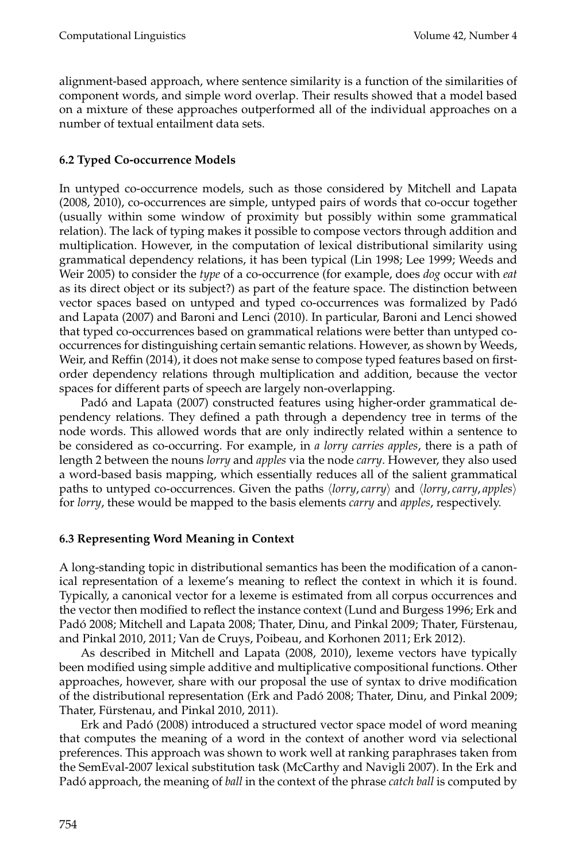alignment-based approach, where sentence similarity is a function of the similarities of component words, and simple word overlap. Their results showed that a model based on a mixture of these approaches outperformed all of the individual approaches on a number of textual entailment data sets.

## **6.2 Typed Co-occurrence Models**

In untyped co-occurrence models, such as those considered by Mitchell and Lapata (2008, 2010), co-occurrences are simple, untyped pairs of words that co-occur together (usually within some window of proximity but possibly within some grammatical relation). The lack of typing makes it possible to compose vectors through addition and multiplication. However, in the computation of lexical distributional similarity using grammatical dependency relations, it has been typical (Lin 1998; Lee 1999; Weeds and Weir 2005) to consider the *type* of a co-occurrence (for example, does *dog* occur with *eat* as its direct object or its subject?) as part of the feature space. The distinction between vector spaces based on untyped and typed co-occurrences was formalized by Pado´ and Lapata (2007) and Baroni and Lenci (2010). In particular, Baroni and Lenci showed that typed co-occurrences based on grammatical relations were better than untyped cooccurrences for distinguishing certain semantic relations. However, as shown by Weeds, Weir, and Reffin (2014), it does not make sense to compose typed features based on firstorder dependency relations through multiplication and addition, because the vector spaces for different parts of speech are largely non-overlapping.

Padó and Lapata (2007) constructed features using higher-order grammatical dependency relations. They defined a path through a dependency tree in terms of the node words. This allowed words that are only indirectly related within a sentence to be considered as co-occurring. For example, in *a lorry carries apples*, there is a path of length 2 between the nouns *lorry* and *apples* via the node *carry*. However, they also used a word-based basis mapping, which essentially reduces all of the salient grammatical paths to untyped co-occurrences. Given the paths  $\langle$ *lorry*, *carry* $\rangle$  and  $\langle$ *lorry*, *carry*, *apples* $\rangle$ for *lorry*, these would be mapped to the basis elements *carry* and *apples*, respectively.

## **6.3 Representing Word Meaning in Context**

A long-standing topic in distributional semantics has been the modification of a canonical representation of a lexeme's meaning to reflect the context in which it is found. Typically, a canonical vector for a lexeme is estimated from all corpus occurrences and the vector then modified to reflect the instance context (Lund and Burgess 1996; Erk and Padó 2008; Mitchell and Lapata 2008; Thater, Dinu, and Pinkal 2009; Thater, Fürstenau, and Pinkal 2010, 2011; Van de Cruys, Poibeau, and Korhonen 2011; Erk 2012).

As described in Mitchell and Lapata (2008, 2010), lexeme vectors have typically been modified using simple additive and multiplicative compositional functions. Other approaches, however, share with our proposal the use of syntax to drive modification of the distributional representation (Erk and Pado 2008; Thater, Dinu, and Pinkal 2009; ´ Thater, Fürstenau, and Pinkal 2010, 2011).

Erk and Pado (2008) introduced a structured vector space model of word meaning ´ that computes the meaning of a word in the context of another word via selectional preferences. This approach was shown to work well at ranking paraphrases taken from the SemEval-2007 lexical substitution task (McCarthy and Navigli 2007). In the Erk and Padó approach, the meaning of *ball* in the context of the phrase *catch ball* is computed by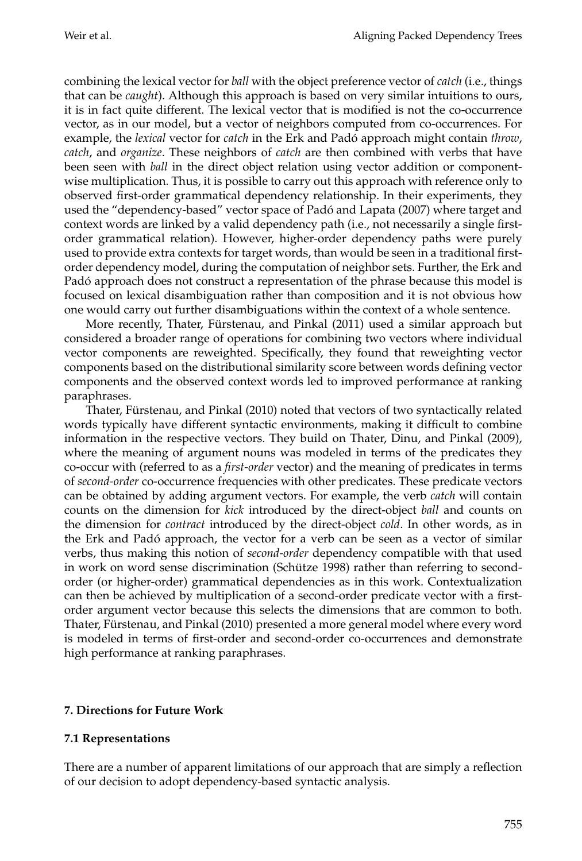combining the lexical vector for *ball* with the object preference vector of *catch* (i.e., things that can be *caught*). Although this approach is based on very similar intuitions to ours, it is in fact quite different. The lexical vector that is modified is not the co-occurrence vector, as in our model, but a vector of neighbors computed from co-occurrences. For example, the *lexical* vector for *catch* in the Erk and Padó approach might contain *throw*, *catch*, and *organize*. These neighbors of *catch* are then combined with verbs that have been seen with *ball* in the direct object relation using vector addition or componentwise multiplication. Thus, it is possible to carry out this approach with reference only to observed first-order grammatical dependency relationship. In their experiments, they used the "dependency-based" vector space of Padó and Lapata (2007) where target and context words are linked by a valid dependency path (i.e., not necessarily a single firstorder grammatical relation). However, higher-order dependency paths were purely used to provide extra contexts for target words, than would be seen in a traditional firstorder dependency model, during the computation of neighbor sets. Further, the Erk and Padó approach does not construct a representation of the phrase because this model is focused on lexical disambiguation rather than composition and it is not obvious how one would carry out further disambiguations within the context of a whole sentence.

More recently, Thater, Fürstenau, and Pinkal (2011) used a similar approach but considered a broader range of operations for combining two vectors where individual vector components are reweighted. Specifically, they found that reweighting vector components based on the distributional similarity score between words defining vector components and the observed context words led to improved performance at ranking paraphrases.

Thater, Fürstenau, and Pinkal (2010) noted that vectors of two syntactically related words typically have different syntactic environments, making it difficult to combine information in the respective vectors. They build on Thater, Dinu, and Pinkal (2009), where the meaning of argument nouns was modeled in terms of the predicates they co-occur with (referred to as a *first-order* vector) and the meaning of predicates in terms of *second-order* co-occurrence frequencies with other predicates. These predicate vectors can be obtained by adding argument vectors. For example, the verb *catch* will contain counts on the dimension for *kick* introduced by the direct-object *ball* and counts on the dimension for *contract* introduced by the direct-object *cold*. In other words, as in the Erk and Padó approach, the vector for a verb can be seen as a vector of similar verbs, thus making this notion of *second-order* dependency compatible with that used in work on word sense discrimination (Schütze 1998) rather than referring to secondorder (or higher-order) grammatical dependencies as in this work. Contextualization can then be achieved by multiplication of a second-order predicate vector with a firstorder argument vector because this selects the dimensions that are common to both. Thater, Fürstenau, and Pinkal (2010) presented a more general model where every word is modeled in terms of first-order and second-order co-occurrences and demonstrate high performance at ranking paraphrases.

## **7. Directions for Future Work**

## **7.1 Representations**

There are a number of apparent limitations of our approach that are simply a reflection of our decision to adopt dependency-based syntactic analysis.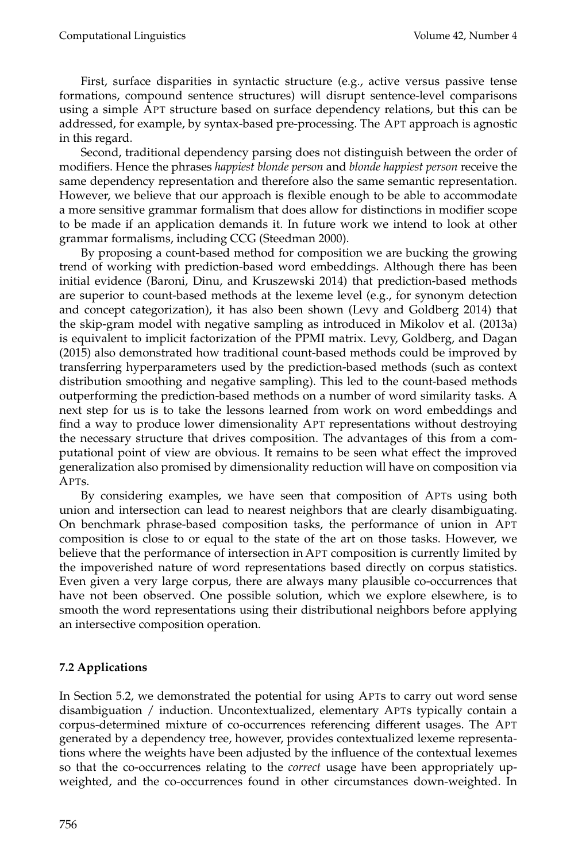First, surface disparities in syntactic structure (e.g., active versus passive tense formations, compound sentence structures) will disrupt sentence-level comparisons using a simple APT structure based on surface dependency relations, but this can be addressed, for example, by syntax-based pre-processing. The APT approach is agnostic in this regard.

Second, traditional dependency parsing does not distinguish between the order of modifiers. Hence the phrases *happiest blonde person* and *blonde happiest person* receive the same dependency representation and therefore also the same semantic representation. However, we believe that our approach is flexible enough to be able to accommodate a more sensitive grammar formalism that does allow for distinctions in modifier scope to be made if an application demands it. In future work we intend to look at other grammar formalisms, including CCG (Steedman 2000).

By proposing a count-based method for composition we are bucking the growing trend of working with prediction-based word embeddings. Although there has been initial evidence (Baroni, Dinu, and Kruszewski 2014) that prediction-based methods are superior to count-based methods at the lexeme level (e.g., for synonym detection and concept categorization), it has also been shown (Levy and Goldberg 2014) that the skip-gram model with negative sampling as introduced in Mikolov et al. (2013a) is equivalent to implicit factorization of the PPMI matrix. Levy, Goldberg, and Dagan (2015) also demonstrated how traditional count-based methods could be improved by transferring hyperparameters used by the prediction-based methods (such as context distribution smoothing and negative sampling). This led to the count-based methods outperforming the prediction-based methods on a number of word similarity tasks. A next step for us is to take the lessons learned from work on word embeddings and find a way to produce lower dimensionality APT representations without destroying the necessary structure that drives composition. The advantages of this from a computational point of view are obvious. It remains to be seen what effect the improved generalization also promised by dimensionality reduction will have on composition via APTs.

By considering examples, we have seen that composition of APTs using both union and intersection can lead to nearest neighbors that are clearly disambiguating. On benchmark phrase-based composition tasks, the performance of union in APT composition is close to or equal to the state of the art on those tasks. However, we believe that the performance of intersection in APT composition is currently limited by the impoverished nature of word representations based directly on corpus statistics. Even given a very large corpus, there are always many plausible co-occurrences that have not been observed. One possible solution, which we explore elsewhere, is to smooth the word representations using their distributional neighbors before applying an intersective composition operation.

## **7.2 Applications**

In Section 5.2, we demonstrated the potential for using APTs to carry out word sense disambiguation / induction. Uncontextualized, elementary APTs typically contain a corpus-determined mixture of co-occurrences referencing different usages. The APT generated by a dependency tree, however, provides contextualized lexeme representations where the weights have been adjusted by the influence of the contextual lexemes so that the co-occurrences relating to the *correct* usage have been appropriately upweighted, and the co-occurrences found in other circumstances down-weighted. In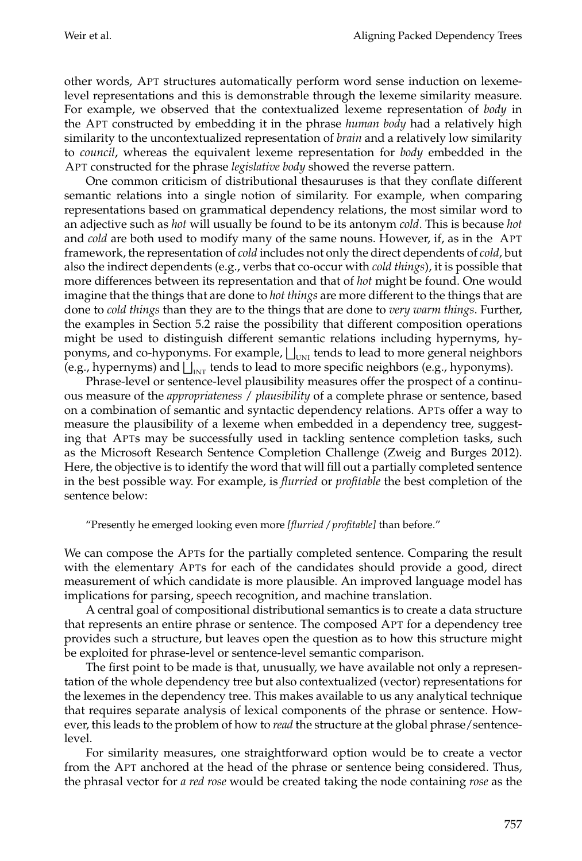other words, APT structures automatically perform word sense induction on lexemelevel representations and this is demonstrable through the lexeme similarity measure. For example, we observed that the contextualized lexeme representation of *body* in the APT constructed by embedding it in the phrase *human body* had a relatively high similarity to the uncontextualized representation of *brain* and a relatively low similarity to *council*, whereas the equivalent lexeme representation for *body* embedded in the APT constructed for the phrase *legislative body* showed the reverse pattern.

One common criticism of distributional thesauruses is that they conflate different semantic relations into a single notion of similarity. For example, when comparing representations based on grammatical dependency relations, the most similar word to an adjective such as *hot* will usually be found to be its antonym *cold*. This is because *hot* and *cold* are both used to modify many of the same nouns. However, if, as in the APT framework, the representation of *cold* includes not only the direct dependents of *cold*, but also the indirect dependents (e.g., verbs that co-occur with *cold things*), it is possible that more differences between its representation and that of *hot* might be found. One would imagine that the things that are done to *hot things* are more different to the things that are done to *cold things* than they are to the things that are done to *very warm things*. Further, the examples in Section 5.2 raise the possibility that different composition operations might be used to distinguish different semantic relations including hypernyms, hyponyms, and co-hyponyms. For example,  $\bigsqcup_{\text{\tiny{UNI}}}$  tends to lead to more general neighbors (e.g., hypernyms) and  $\bigsqcup_{\text{INT}}$  tends to lead to more specific neighbors (e.g., hyponyms).

Phrase-level or sentence-level plausibility measures offer the prospect of a continuous measure of the *appropriateness* / *plausibility* of a complete phrase or sentence, based on a combination of semantic and syntactic dependency relations. APTs offer a way to measure the plausibility of a lexeme when embedded in a dependency tree, suggesting that APTs may be successfully used in tackling sentence completion tasks, such as the Microsoft Research Sentence Completion Challenge (Zweig and Burges 2012). Here, the objective is to identify the word that will fill out a partially completed sentence in the best possible way. For example, is *flurried* or *profitable* the best completion of the sentence below:

"Presently he emerged looking even more *[flurried / profitable]* than before."

We can compose the APTs for the partially completed sentence. Comparing the result with the elementary APTs for each of the candidates should provide a good, direct measurement of which candidate is more plausible. An improved language model has implications for parsing, speech recognition, and machine translation.

A central goal of compositional distributional semantics is to create a data structure that represents an entire phrase or sentence. The composed APT for a dependency tree provides such a structure, but leaves open the question as to how this structure might be exploited for phrase-level or sentence-level semantic comparison.

The first point to be made is that, unusually, we have available not only a representation of the whole dependency tree but also contextualized (vector) representations for the lexemes in the dependency tree. This makes available to us any analytical technique that requires separate analysis of lexical components of the phrase or sentence. However, this leads to the problem of how to *read* the structure at the global phrase/sentencelevel.

For similarity measures, one straightforward option would be to create a vector from the APT anchored at the head of the phrase or sentence being considered. Thus, the phrasal vector for *a red rose* would be created taking the node containing *rose* as the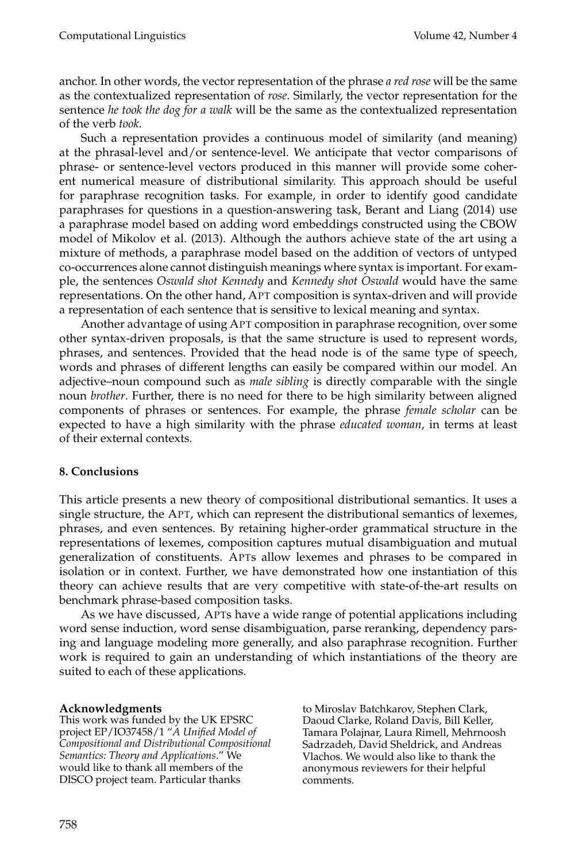anchor. In other words, the vector representation of the phrase *a red rose* will be the same as the contextualized representation of *rose*. Similarly, the vector representation for the sentence *he took the dog for a walk* will be the same as the contextualized representation of the verb *took*.

Such a representation provides a continuous model of similarity (and meaning) at the phrasal-level and/or sentence-level. We anticipate that vector comparisons of phrase- or sentence-level vectors produced in this manner will provide some coherent numerical measure of distributional similarity. This approach should be useful for paraphrase recognition tasks. For example, in order to identify good candidate paraphrases for questions in a question-answering task, Berant and Liang (2014) use a paraphrase model based on adding word embeddings constructed using the CBOW model of Mikolov et al. (2013). Although the authors achieve state of the art using a mixture of methods, a paraphrase model based on the addition of vectors of untyped co-occurrences alone cannot distinguish meanings where syntax is important. For example, the sentences *Oswald shot Kennedy* and *Kennedy shot Oswald* would have the same representations. On the other hand, APT composition is syntax-driven and will provide a representation of each sentence that is sensitive to lexical meaning and syntax.

Another advantage of using APT composition in paraphrase recognition, over some other syntax-driven proposals, is that the same structure is used to represent words, phrases, and sentences. Provided that the head node is of the same type of speech, words and phrases of different lengths can easily be compared within our model. An adjective–noun compound such as *male sibling* is directly comparable with the single noun *brother*. Further, there is no need for there to be high similarity between aligned components of phrases or sentences. For example, the phrase *female scholar* can be expected to have a high similarity with the phrase *educated woman*, in terms at least of their external contexts.

#### **8. Conclusions**

This article presents a new theory of compositional distributional semantics. It uses a single structure, the APT, which can represent the distributional semantics of lexemes, phrases, and even sentences. By retaining higher-order grammatical structure in the representations of lexemes, composition captures mutual disambiguation and mutual generalization of constituents. APTs allow lexemes and phrases to be compared in isolation or in context. Further, we have demonstrated how one instantiation of this theory can achieve results that are very competitive with state-of-the-art results on benchmark phrase-based composition tasks.

As we have discussed, APTs have a wide range of potential applications including word sense induction, word sense disambiguation, parse reranking, dependency parsing and language modeling more generally, and also paraphrase recognition. Further work is required to gain an understanding of which instantiations of the theory are suited to each of these applications.

#### **Acknowledgments**

This work was funded by the UK EPSRC project EP/IO37458/1 "*A Unified Model of Compositional and Distributional Compositional Semantics: Theory and Applications*." We would like to thank all members of the DISCO project team. Particular thanks

to Miroslav Batchkarov, Stephen Clark, Daoud Clarke, Roland Davis, Bill Keller, Tamara Polajnar, Laura Rimell, Mehrnoosh Sadrzadeh, David Sheldrick, and Andreas Vlachos. We would also like to thank the anonymous reviewers for their helpful comments.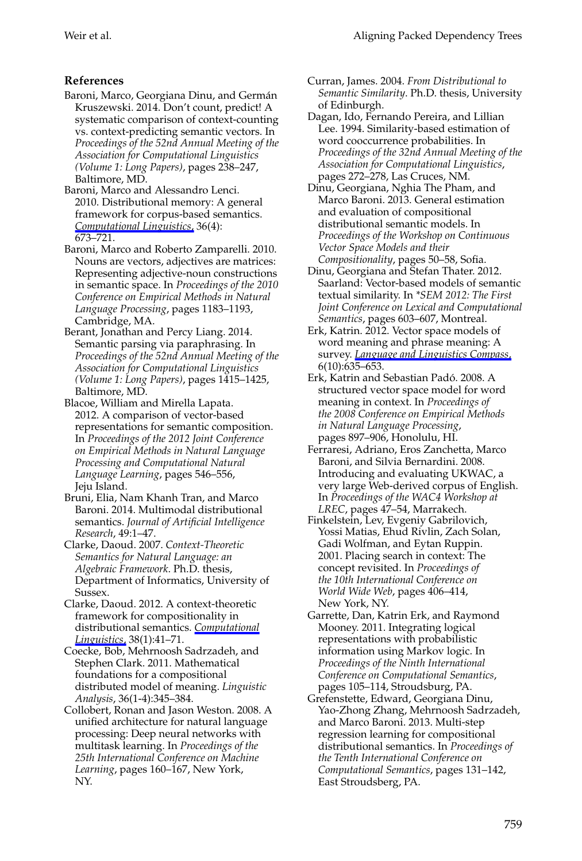## **References**

- Baroni, Marco, Georgiana Dinu, and Germán Kruszewski. 2014. Don't count, predict! A systematic comparison of context-counting vs. context-predicting semantic vectors. In *Proceedings of the 52nd Annual Meeting of the Association for Computational Linguistics (Volume 1: Long Papers)*, pages 238–247, Baltimore, MD.
- Baroni, Marco and Alessandro Lenci. 2010. Distributional memory: A general framework for corpus-based semantics. *[Computational Linguistics](http://www.mitpressjournals.org/action/showLinks?system=10.1162%2Fcoli_a_00016)*, 36(4): 673–721.
- Baroni, Marco and Roberto Zamparelli. 2010. Nouns are vectors, adjectives are matrices: Representing adjective-noun constructions in semantic space. In *Proceedings of the 2010 Conference on Empirical Methods in Natural Language Processing*, pages 1183–1193, Cambridge, MA.
- Berant, Jonathan and Percy Liang. 2014. Semantic parsing via paraphrasing. In *Proceedings of the 52nd Annual Meeting of the Association for Computational Linguistics (Volume 1: Long Papers)*, pages 1415–1425, Baltimore, MD.
- Blacoe, William and Mirella Lapata. 2012. A comparison of vector-based representations for semantic composition. In *Proceedings of the 2012 Joint Conference on Empirical Methods in Natural Language Processing and Computational Natural Language Learning*, pages 546–556, Jeju Island.
- Bruni, Elia, Nam Khanh Tran, and Marco Baroni. 2014. Multimodal distributional semantics. *Journal of Artificial Intelligence Research*, 49:1–47.
- Clarke, Daoud. 2007. *Context-Theoretic Semantics for Natural Language: an Algebraic Framework*. Ph.D. thesis, Department of Informatics, University of Sussex.
- Clarke, Daoud. 2012. A context-theoretic framework for compositionality in distributional semantics. *[Computational](http://www.mitpressjournals.org/action/showLinks?system=10.1162%2FCOLI_a_00084) [Linguistics](http://www.mitpressjournals.org/action/showLinks?system=10.1162%2FCOLI_a_00084)*, 38(1):41–71.
- Coecke, Bob, Mehrnoosh Sadrzadeh, and Stephen Clark. 2011. Mathematical foundations for a compositional distributed model of meaning. *Linguistic Analysis*, 36(1-4):345–384.
- Collobert, Ronan and Jason Weston. 2008. A unified architecture for natural language processing: Deep neural networks with multitask learning. In *Proceedings of the 25th International Conference on Machine Learning*, pages 160–167, New York, NY.
- Curran, James. 2004. *From Distributional to Semantic Similarity*. Ph.D. thesis, University of Edinburgh.
- Dagan, Ido, Fernando Pereira, and Lillian Lee. 1994. Similarity-based estimation of word cooccurrence probabilities. In *Proceedings of the 32nd Annual Meeting of the Association for Computational Linguistics*, pages 272–278, Las Cruces, NM.
- Dinu, Georgiana, Nghia The Pham, and Marco Baroni. 2013. General estimation and evaluation of compositional distributional semantic models. In *Proceedings of the Workshop on Continuous Vector Space Models and their Compositionality*, pages 50–58, Sofia.
- Dinu, Georgiana and Stefan Thater. 2012. Saarland: Vector-based models of semantic textual similarity. In *\*SEM 2012: The First Joint Conference on Lexical and Computational Semantics*, pages 603–607, Montreal.
- Erk, Katrin. 2012. Vector space models of word meaning and phrase meaning: A survey. *[Language and Linguistics Compass](http://www.mitpressjournals.org/action/showLinks?crossref=10.1002%2Flnco.362)*, 6(10):635–653.
- Erk, Katrin and Sebastian Padó. 2008. A structured vector space model for word meaning in context. In *Proceedings of the 2008 Conference on Empirical Methods in Natural Language Processing*, pages 897–906, Honolulu, HI.
- Ferraresi, Adriano, Eros Zanchetta, Marco Baroni, and Silvia Bernardini. 2008. Introducing and evaluating UKWAC, a very large Web-derived corpus of English. In *Proceedings of the WAC4 Workshop at LREC*, pages 47–54, Marrakech.
- Finkelstein, Lev, Evgeniy Gabrilovich, Yossi Matias, Ehud Rivlin, Zach Solan, Gadi Wolfman, and Eytan Ruppin. 2001. Placing search in context: The concept revisited. In *Proceedings of the 10th International Conference on World Wide Web*, pages 406–414, New York, NY.
- Garrette, Dan, Katrin Erk, and Raymond Mooney. 2011. Integrating logical representations with probabilistic information using Markov logic. In *Proceedings of the Ninth International Conference on Computational Semantics*, pages 105–114, Stroudsburg, PA.
- Grefenstette, Edward, Georgiana Dinu, Yao-Zhong Zhang, Mehrnoosh Sadrzadeh, and Marco Baroni. 2013. Multi-step regression learning for compositional distributional semantics. In *Proceedings of the Tenth International Conference on Computational Semantics*, pages 131–142, East Stroudsberg, PA.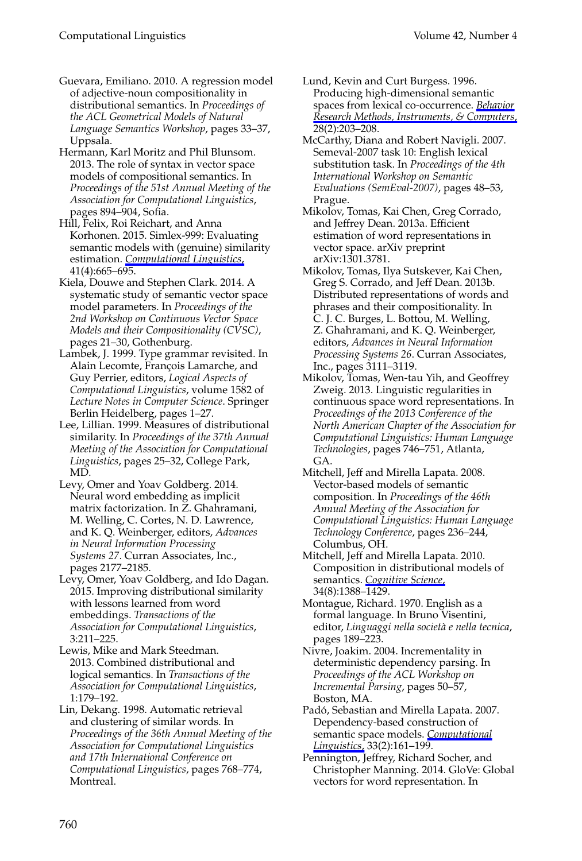- Guevara, Emiliano. 2010. A regression model of adjective-noun compositionality in distributional semantics. In *Proceedings of the ACL Geometrical Models of Natural Language Semantics Workshop*, pages 33–37, Uppsala.
- Hermann, Karl Moritz and Phil Blunsom. 2013. The role of syntax in vector space models of compositional semantics. In *Proceedings of the 51st Annual Meeting of the Association for Computational Linguistics*, pages 894–904, Sofia.
- Hill, Felix, Roi Reichart, and Anna Korhonen. 2015. Simlex-999: Evaluating semantic models with (genuine) similarity estimation. *[Computational Linguistics](http://www.mitpressjournals.org/action/showLinks?system=10.1162%2FCOLI_a_00237)*, 41(4):665–695.
- Kiela, Douwe and Stephen Clark. 2014. A systematic study of semantic vector space model parameters. In *Proceedings of the 2nd Workshop on Continuous Vector Space Models and their Compositionality (CVSC)*, pages 21–30, Gothenburg.
- Lambek, J. 1999. Type grammar revisited. In Alain Lecomte, François Lamarche, and Guy Perrier, editors, *Logical Aspects of Computational Linguistics*, volume 1582 of *Lecture Notes in Computer Science*. Springer Berlin Heidelberg, pages 1–27.
- Lee, Lillian. 1999. Measures of distributional similarity. In *Proceedings of the 37th Annual Meeting of the Association for Computational Linguistics*, pages 25–32, College Park, MD.
- Levy, Omer and Yoav Goldberg. 2014. Neural word embedding as implicit matrix factorization. In Z. Ghahramani, M. Welling, C. Cortes, N. D. Lawrence, and K. Q. Weinberger, editors, *Advances in Neural Information Processing Systems 27*. Curran Associates, Inc., pages 2177–2185.
- Levy, Omer, Yoav Goldberg, and Ido Dagan. 2015. Improving distributional similarity with lessons learned from word embeddings. *Transactions of the Association for Computational Linguistics*, 3:211–225.
- Lewis, Mike and Mark Steedman. 2013. Combined distributional and logical semantics. In *Transactions of the Association for Computational Linguistics*, 1:179–192.
- Lin, Dekang. 1998. Automatic retrieval and clustering of similar words. In *Proceedings of the 36th Annual Meeting of the Association for Computational Linguistics and 17th International Conference on Computational Linguistics*, pages 768–774, Montreal.
- Lund, Kevin and Curt Burgess. 1996. Producing high-dimensional semantic spaces from lexical co-occurrence. *[Behavior](http://www.mitpressjournals.org/action/showLinks?crossref=10.3758%2FBF03204766) [Research Methods, Instruments, & Computers](http://www.mitpressjournals.org/action/showLinks?crossref=10.3758%2FBF03204766)*, 28(2):203–208.
- McCarthy, Diana and Robert Navigli. 2007. Semeval-2007 task 10: English lexical substitution task. In *Proceedings of the 4th International Workshop on Semantic Evaluations (SemEval-2007)*, pages 48–53, Prague.
- Mikolov, Tomas, Kai Chen, Greg Corrado, and Jeffrey Dean. 2013a. Efficient estimation of word representations in vector space. arXiv preprint arXiv:1301.3781.
- Mikolov, Tomas, Ilya Sutskever, Kai Chen, Greg S. Corrado, and Jeff Dean. 2013b. Distributed representations of words and phrases and their compositionality. In C. J. C. Burges, L. Bottou, M. Welling, Z. Ghahramani, and K. Q. Weinberger, editors, *Advances in Neural Information Processing Systems 26*. Curran Associates, Inc., pages 3111–3119.
- Mikolov, Tomas, Wen-tau Yih, and Geoffrey Zweig. 2013. Linguistic regularities in continuous space word representations. In *Proceedings of the 2013 Conference of the North American Chapter of the Association for Computational Linguistics: Human Language Technologies*, pages 746–751, Atlanta, GA.
- Mitchell, Jeff and Mirella Lapata. 2008. Vector-based models of semantic composition. In *Proceedings of the 46th Annual Meeting of the Association for Computational Linguistics: Human Language Technology Conference*, pages 236–244, Columbus, OH.
- Mitchell, Jeff and Mirella Lapata. 2010. Composition in distributional models of semantics. *[Cognitive Science](http://www.mitpressjournals.org/action/showLinks?crossref=10.1111%2Fj.1551-6709.2010.01106.x)*, 34(8):1388–1429.
- Montague, Richard. 1970. English as a formal language. In Bruno Visentini, editor, *Linguaggi nella societ`a e nella tecnica*, pages 189–223.
- Nivre, Joakim. 2004. Incrementality in deterministic dependency parsing. In *Proceedings of the ACL Workshop on Incremental Parsing*, pages 50–57, Boston, MA.
- Padó, Sebastian and Mirella Lapata. 2007. Dependency-based construction of semantic space models. *[Computational](http://www.mitpressjournals.org/action/showLinks?system=10.1162%2Fcoli.2007.33.2.161) [Linguistics](http://www.mitpressjournals.org/action/showLinks?system=10.1162%2Fcoli.2007.33.2.161)*, 33(2):161–199.
- Pennington, Jeffrey, Richard Socher, and Christopher Manning. 2014. GloVe: Global vectors for word representation. In